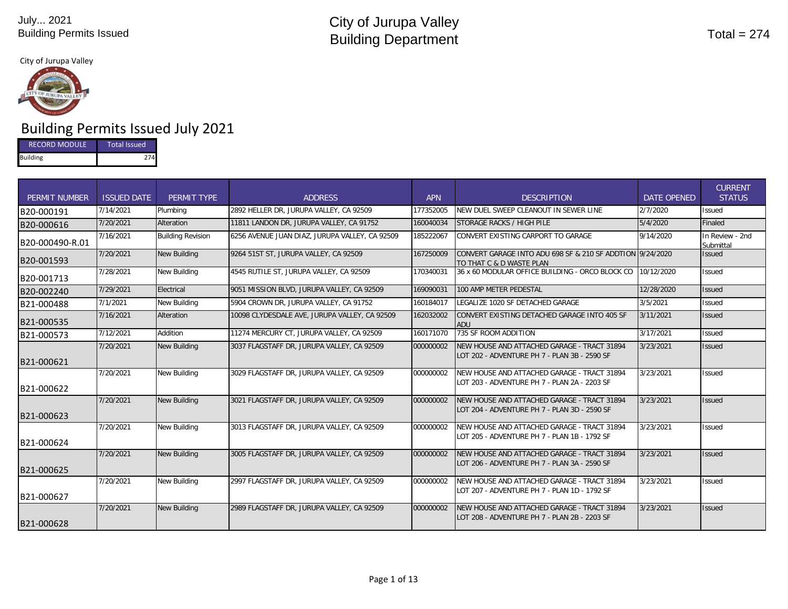#### City of Jurupa Valley



# Building Permits Issued July 2021

| <b>RECORD MODULE</b> | <b>Total Issued</b> |  |  |  |  |
|----------------------|---------------------|--|--|--|--|
| <b>Building</b>      | 274                 |  |  |  |  |

| <b>PERMIT NUMBER</b> | <b>ISSUED DATE</b> | PERMIT TYPE              | <b>ADDRESS</b>                                 | <b>APN</b> | <b>DESCRIPTION</b>                                                                          | <b>DATE OPENED</b> | <b>CURRENT</b><br><b>STATUS</b> |
|----------------------|--------------------|--------------------------|------------------------------------------------|------------|---------------------------------------------------------------------------------------------|--------------------|---------------------------------|
| B20-000191           | 7/14/2021          | Plumbing                 | 2892 HELLER DR. JURUPA VALLEY. CA 92509        | 177352005  | NEW DUEL SWEEP CLEANOUT IN SEWER LINE                                                       | 2/7/2020           | <b>Issued</b>                   |
| B20-000616           | 7/20/2021          | Alteration               | 11811 LANDON DR, JURUPA VALLEY, CA 91752       | 160040034  | STORAGE RACKS / HIGH PILE                                                                   | 5/4/2020           | Finaled                         |
| B20-000490-R.01      | 7/16/2021          | <b>Building Revision</b> | 6256 AVENUE JUAN DIAZ, JURUPA VALLEY, CA 92509 | 185222067  | CONVERT EXISTING CARPORT TO GARAGE                                                          | 9/14/2020          | In Review - 2nd<br>Submittal    |
| B20-001593           | 7/20/2021          | <b>New Building</b>      | 9264 51ST ST, JURUPA VALLEY, CA 92509          | 167250009  | CONVERT GARAGE INTO ADU 698 SF & 210 SF ADDTION 9/24/2020<br>TO THAT C & D WASTE PLAN       |                    | <b>Issued</b>                   |
| B20-001713           | 7/28/2021          | New Building             | 4545 RUTILE ST, JURUPA VALLEY, CA 92509        | 170340031  | 36 x 60 MODULAR OFFICE BUILDING - ORCO BLOCK CO                                             | 10/12/2020         | <b>Issued</b>                   |
| B20-002240           | 7/29/2021          | Electrical               | 9051 MISSION BLVD, JURUPA VALLEY, CA 92509     | 169090031  | 100 AMP METER PEDESTAL                                                                      | 12/28/2020         | <b>Issued</b>                   |
| B21-000488           | 7/1/2021           | New Building             | 5904 CROWN DR. JURUPA VALLEY. CA 91752         | 160184017  | LEGALIZE 1020 SF DETACHED GARAGE                                                            | 3/5/2021           | <b>Issued</b>                   |
| B21-000535           | 7/16/2021          | Alteration               | 10098 CLYDESDALE AVE, JURUPA VALLEY, CA 92509  | 162032002  | CONVERT EXISTING DETACHED GARAGE INTO 405 SF<br><b>ADU</b>                                  | 3/11/2021          | <b>Issued</b>                   |
| B21-000573           | 7/12/2021          | Addition                 | 11274 MERCURY CT. JURUPA VALLEY. CA 92509      | 160171070  | 735 SF ROOM ADDITION                                                                        | 3/17/2021          | <b>Issued</b>                   |
| B21-000621           | 7/20/2021          | <b>New Building</b>      | 3037 FLAGSTAFF DR, JURUPA VALLEY, CA 92509     | 000000002  | NEW HOUSE AND ATTACHED GARAGE - TRACT 31894<br>LOT 202 - ADVENTURE PH 7 - PLAN 3B - 2590 SF | 3/23/2021          | <b>Issued</b>                   |
| B21-000622           | 7/20/2021          | <b>New Building</b>      | 3029 FLAGSTAFF DR, JURUPA VALLEY, CA 92509     | 000000002  | NEW HOUSE AND ATTACHED GARAGE - TRACT 31894<br>LOT 203 - ADVENTURE PH 7 - PLAN 2A - 2203 SF | 3/23/2021          | <b>Issued</b>                   |
| B21-000623           | 7/20/2021          | <b>New Building</b>      | 3021 FLAGSTAFF DR, JURUPA VALLEY, CA 92509     | 000000002  | NEW HOUSE AND ATTACHED GARAGE - TRACT 31894<br>LOT 204 - ADVENTURE PH 7 - PLAN 3D - 2590 SF | 3/23/2021          | <b>Issued</b>                   |
| B21-000624           | 7/20/2021          | <b>New Building</b>      | 3013 FLAGSTAFF DR, JURUPA VALLEY, CA 92509     | 000000002  | NEW HOUSE AND ATTACHED GARAGE - TRACT 31894<br>LOT 205 - ADVENTURE PH 7 - PLAN 1B - 1792 SF | 3/23/2021          | <b>Issued</b>                   |
| B21-000625           | 7/20/2021          | <b>New Building</b>      | 3005 FLAGSTAFF DR, JURUPA VALLEY, CA 92509     | 000000002  | NEW HOUSE AND ATTACHED GARAGE - TRACT 31894<br>LOT 206 - ADVENTURE PH 7 - PLAN 3A - 2590 SF | 3/23/2021          | <b>Issued</b>                   |
| B21-000627           | 7/20/2021          | <b>New Building</b>      | 2997 FLAGSTAFF DR, JURUPA VALLEY, CA 92509     | 000000002  | NEW HOUSE AND ATTACHED GARAGE - TRACT 31894<br>LOT 207 - ADVENTURE PH 7 - PLAN 1D - 1792 SF | 3/23/2021          | <b>Issued</b>                   |
| B21-000628           | 7/20/2021          | <b>New Building</b>      | 2989 FLAGSTAFF DR, JURUPA VALLEY, CA 92509     | 000000002  | NEW HOUSE AND ATTACHED GARAGE - TRACT 31894<br>LOT 208 - ADVENTURE PH 7 - PLAN 2B - 2203 SF | 3/23/2021          | <b>Issued</b>                   |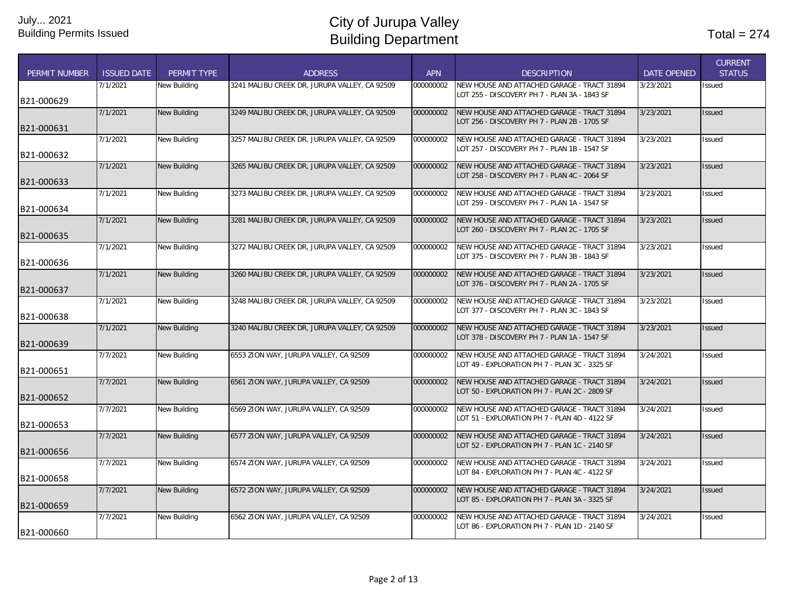| PERMIT NUMBER | <b>ISSUED DATE</b> | PERMIT TYPE         | <b>ADDRESS</b>                                | <b>APN</b> | <b>DESCRIPTION</b>                                                                           | <b>DATE OPENED</b> | <b>CURRENT</b><br><b>STATUS</b> |
|---------------|--------------------|---------------------|-----------------------------------------------|------------|----------------------------------------------------------------------------------------------|--------------------|---------------------------------|
|               | 7/1/2021           | <b>New Building</b> | 3241 MALIBU CREEK DR, JURUPA VALLEY, CA 92509 | 000000002  | NEW HOUSE AND ATTACHED GARAGE - TRACT 31894<br>LOT 255 - DISCOVERY PH 7 - PLAN 3A - 1843 SF  | 3/23/2021          | <b>Issued</b>                   |
| IB21-000629   | 7/1/2021           | <b>New Building</b> | 3249 MALIBU CREEK DR, JURUPA VALLEY, CA 92509 | 000000002  | NEW HOUSE AND ATTACHED GARAGE - TRACT 31894                                                  | 3/23/2021          | <b>Issued</b>                   |
| B21-000631    |                    |                     |                                               |            | LOT 256 - DISCOVERY PH 7 - PLAN 2B - 1705 SF                                                 |                    |                                 |
| B21-000632    | 7/1/2021           | New Building        | 3257 MALIBU CREEK DR, JURUPA VALLEY, CA 92509 | 000000002  | NEW HOUSE AND ATTACHED GARAGE - TRACT 31894<br>LOT 257 - DISCOVERY PH 7 - PLAN 1B - 1547 SF  | 3/23/2021          | Issued                          |
| B21-000633    | 7/1/2021           | <b>New Building</b> | 3265 MALIBU CREEK DR, JURUPA VALLEY, CA 92509 | 000000002  | NEW HOUSE AND ATTACHED GARAGE - TRACT 31894<br>LOT 258 - DISCOVERY PH 7 - PLAN 4C - 2064 SF  | 3/23/2021          | <b>Issued</b>                   |
| B21-000634    | 7/1/2021           | <b>New Building</b> | 3273 MALIBU CREEK DR, JURUPA VALLEY, CA 92509 | 000000002  | NEW HOUSE AND ATTACHED GARAGE - TRACT 31894<br>LOT 259 - DISCOVERY PH 7 - PLAN 1A - 1547 SF  | 3/23/2021          | Issued                          |
| B21-000635    | 7/1/2021           | <b>New Building</b> | 3281 MALIBU CREEK DR, JURUPA VALLEY, CA 92509 | 000000002  | NEW HOUSE AND ATTACHED GARAGE - TRACT 31894<br>LOT 260 - DISCOVERY PH 7 - PLAN 2C - 1705 SF  | 3/23/2021          | <b>Issued</b>                   |
| B21-000636    | 7/1/2021           | <b>New Building</b> | 3272 MALIBU CREEK DR, JURUPA VALLEY, CA 92509 | 000000002  | NEW HOUSE AND ATTACHED GARAGE - TRACT 31894<br>LOT 375 - DISCOVERY PH 7 - PLAN 3B - 1843 SF  | 3/23/2021          | <b>Issued</b>                   |
| B21-000637    | 7/1/2021           | <b>New Building</b> | 3260 MALIBU CREEK DR, JURUPA VALLEY, CA 92509 | 000000002  | NEW HOUSE AND ATTACHED GARAGE - TRACT 31894<br>LOT 376 - DISCOVERY PH 7 - PLAN 2A - 1705 SF  | 3/23/2021          | <b>Issued</b>                   |
| B21-000638    | 7/1/2021           | <b>New Building</b> | 3248 MALIBU CREEK DR, JURUPA VALLEY, CA 92509 | 000000002  | NEW HOUSE AND ATTACHED GARAGE - TRACT 31894<br>LOT 377 - DISCOVERY PH 7 - PLAN 3C - 1843 SF  | 3/23/2021          | Issued                          |
| B21-000639    | 7/1/2021           | <b>New Building</b> | 3240 MALIBU CREEK DR, JURUPA VALLEY, CA 92509 | 000000002  | NEW HOUSE AND ATTACHED GARAGE - TRACT 31894<br>LOT 378 - DISCOVERY PH 7 - PLAN 1A - 1547 SF  | 3/23/2021          | <b>Issued</b>                   |
| B21-000651    | 7/7/2021           | New Building        | 6553 ZION WAY, JURUPA VALLEY, CA 92509        | 000000002  | NEW HOUSE AND ATTACHED GARAGE - TRACT 31894<br>LOT 49 - EXPLORATION PH 7 - PLAN 3C - 3325 SF | 3/24/2021          | Issued                          |
| B21-000652    | 7/7/2021           | <b>New Building</b> | 6561 ZION WAY, JURUPA VALLEY, CA 92509        | 000000002  | NEW HOUSE AND ATTACHED GARAGE - TRACT 31894<br>LOT 50 - EXPLORATION PH 7 - PLAN 2C - 2809 SF | 3/24/2021          | <b>Issued</b>                   |
| B21-000653    | 7/7/2021           | <b>New Building</b> | 6569 ZION WAY, JURUPA VALLEY, CA 92509        | 000000002  | NEW HOUSE AND ATTACHED GARAGE - TRACT 31894<br>LOT 51 - EXPLORATION PH 7 - PLAN 4D - 4122 SF | 3/24/2021          | Issued                          |
| B21-000656    | 7/7/2021           | <b>New Building</b> | 6577 ZION WAY, JURUPA VALLEY, CA 92509        | 000000002  | NEW HOUSE AND ATTACHED GARAGE - TRACT 31894<br>LOT 52 - EXPLORATION PH 7 - PLAN 1C - 2140 SF | 3/24/2021          | <b>Issued</b>                   |
| B21-000658    | 7/7/2021           | <b>New Building</b> | 6574 ZION WAY, JURUPA VALLEY, CA 92509        | 000000002  | NEW HOUSE AND ATTACHED GARAGE - TRACT 31894<br>LOT 84 - EXPLORATION PH 7 - PLAN 4C - 4122 SF | 3/24/2021          | <b>Issued</b>                   |
| B21-000659    | 7/7/2021           | <b>New Building</b> | 6572 ZION WAY, JURUPA VALLEY, CA 92509        | 000000002  | NEW HOUSE AND ATTACHED GARAGE - TRACT 31894<br>LOT 85 - EXPLORATION PH 7 - PLAN 3A - 3325 SF | 3/24/2021          | <b>Issued</b>                   |
| B21-000660    | 7/7/2021           | New Building        | 6562 ZION WAY, JURUPA VALLEY, CA 92509        | 000000002  | NEW HOUSE AND ATTACHED GARAGE - TRACT 31894<br>LOT 86 - EXPLORATION PH 7 - PLAN 1D - 2140 SF | 3/24/2021          | Issued                          |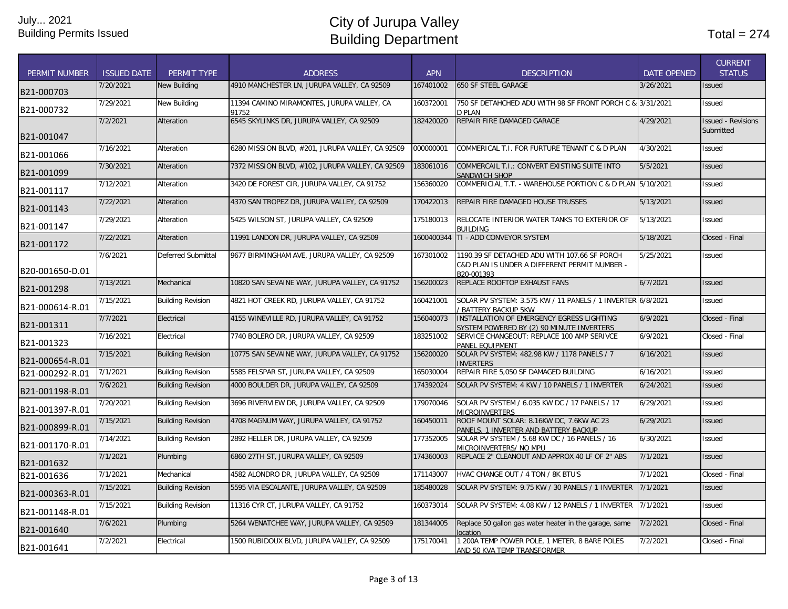| Total = | ΄4<br><b>27</b> |
|---------|-----------------|
|---------|-----------------|

|                      |                    |                          |                                                     |            |                                                                                          |                    | <b>CURRENT</b>            |
|----------------------|--------------------|--------------------------|-----------------------------------------------------|------------|------------------------------------------------------------------------------------------|--------------------|---------------------------|
| <b>PERMIT NUMBER</b> | <b>ISSUED DATE</b> | <b>PERMIT TYPE</b>       | <b>ADDRESS</b>                                      | <b>APN</b> | <b>DESCRIPTION</b>                                                                       | <b>DATE OPENED</b> | <b>STATUS</b>             |
| B21-000703           | 7/20/2021          | <b>New Building</b>      | 4910 MANCHESTER LN, JURUPA VALLEY, CA 92509         | 167401002  | <b>650 SF STEEL GARAGE</b>                                                               | 3/26/2021          | <b>Issued</b>             |
| B21-000732           | 7/29/2021          | New Building             | 11394 CAMINO MIRAMONTES, JURUPA VALLEY, CA<br>91752 | 160372001  | 750 SF DETAHCHED ADU WITH 98 SF FRONT PORCH C & 3/31/2021<br>D PLAN                      |                    | Issued                    |
|                      | 7/2/2021           | Alteration               | 6545 SKYLINKS DR, JURUPA VALLEY, CA 92509           | 182420020  | REPAIR FIRE DAMAGED GARAGE                                                               | 4/29/2021          | <b>Issued - Revisions</b> |
| B21-001047           |                    |                          |                                                     |            |                                                                                          |                    | Submitted                 |
| B21-001066           | 7/16/2021          | Alteration               | 6280 MISSION BLVD, #201, JURUPA VALLEY, CA 92509    | 000000001  | COMMERICAL T.I. FOR FURTURE TENANT C & D PLAN                                            | 4/30/2021          | <b>Issued</b>             |
| B21-001099           | 7/30/2021          | Alteration               | 7372 MISSION BLVD, #102, JURUPA VALLEY, CA 92509    | 183061016  | COMMERCAIL T.I.: CONVERT EXISTING SUITE INTO<br>SANDWICH SHOP                            | 5/5/2021           | <b>Issued</b>             |
| B21-001117           | 7/12/2021          | Alteration               | 3420 DE FOREST CIR, JURUPA VALLEY, CA 91752         | 156360020  | COMMERICIAL T.T. - WAREHOUSE PORTION C & D PLAN 15/10/2021                               |                    | Issued                    |
| B21-001143           | 7/22/2021          | Alteration               | 4370 SAN TROPEZ DR, JURUPA VALLEY, CA 92509         | 170422013  | REPAIR FIRE DAMAGED HOUSE TRUSSES                                                        | 5/13/2021          | <b>Issued</b>             |
| B21-001147           | 7/29/2021          | Alteration               | 5425 WILSON ST, JURUPA VALLEY, CA 92509             | 175180013  | RELOCATE INTERIOR WATER TANKS TO EXTERIOR OF<br><b>BUILDING</b>                          | 5/13/2021          | <b>Issued</b>             |
| B21-001172           | 7/22/2021          | Alteration               | 11991 LANDON DR, JURUPA VALLEY, CA 92509            | 1600400344 | TI - ADD CONVEYOR SYSTEM                                                                 | 5/18/2021          | Closed - Final            |
|                      | 7/6/2021           | Deferred Submittal       | 9677 BIRMINGHAM AVE, JURUPA VALLEY, CA 92509        | 167301002  | 1190.39 SF DETACHED ADU WITH 107.66 SF PORCH                                             | 5/25/2021          | Issued                    |
| B20-001650-D.01      |                    |                          |                                                     |            | C&D PLAN IS UNDER A DIFFERENT PERMIT NUMBER -<br>B20-001393                              |                    |                           |
| B21-001298           | 7/13/2021          | Mechanical               | 10820 SAN SEVAINE WAY, JURUPA VALLEY, CA 91752      | 156200023  | REPLACE ROOFTOP EXHAUST FANS                                                             | 6/7/2021           | <b>Issued</b>             |
| B21-000614-R.01      | 7/15/2021          | <b>Building Revision</b> | 4821 HOT CREEK RD, JURUPA VALLEY, CA 91752          | 160421001  | SOLAR PV SYSTEM: 3.575 KW / 11 PANELS / 1 INVERTER 6/8/2021<br><b>BATTERY BACKUP 5KW</b> |                    | Issued                    |
| B21-001311           | 7/7/2021           | Electrical               | 4155 WINEVILLE RD, JURUPA VALLEY, CA 91752          | 156040073  | INSTALLATION OF EMERGENCY EGRESS LIGHTING<br>SYSTEM POWERED BY (2) 90 MINUTE INVERTERS   | 6/9/2021           | Closed - Final            |
| B21-001323           | 7/16/2021          | Electrical               | 7740 BOLERO DR, JURUPA VALLEY, CA 92509             | 183251002  | SERVICE CHANGEOUT: REPLACE 100 AMP SERIVCE<br>PANEL EQUIPMENT                            | 6/9/2021           | Closed - Final            |
| B21-000654-R.01      | 7/15/2021          | <b>Building Revision</b> | 10775 SAN SEVAINE WAY, JURUPA VALLEY, CA 91752      | 156200020  | SOLAR PV SYSTEM: 482.98 KW / 1178 PANELS / 7<br><b>INVERTERS</b>                         | 6/16/2021          | <b>Issued</b>             |
| B21-000292-R.01      | 7/1/2021           | <b>Building Revision</b> | 5585 FELSPAR ST, JURUPA VALLEY, CA 92509            | 165030004  | REPAIR FIRE 5,050 SF DAMAGED BUILDING                                                    | 6/16/2021          | Issued                    |
| B21-001198-R.01      | 7/6/2021           | <b>Building Revision</b> | 4000 BOULDER DR, JURUPA VALLEY, CA 92509            | 174392024  | SOLAR PV SYSTEM: 4 KW / 10 PANELS / 1 INVERTER                                           | 6/24/2021          | <b>Issued</b>             |
| B21-001397-R.01      | 7/20/2021          | <b>Building Revision</b> | 3696 RIVERVIEW DR, JURUPA VALLEY, CA 92509          | 179070046  | SOLAR PV SYSTEM / 6.035 KW DC / 17 PANELS / 17<br><b>MICROINVERTERS</b>                  | 6/29/2021          | Issued                    |
| B21-000899-R.01      | 7/15/2021          | <b>Building Revision</b> | 4708 MAGNUM WAY, JURUPA VALLEY, CA 91752            | 160450011  | ROOF MOUNT SOLAR: 8.16KW DC, 7.6KW AC 23<br>PANELS. 1 INVERTER AND BATTERY BACKUP        | 6/29/2021          | <b>Issued</b>             |
| B21-001170-R.01      | 7/14/2021          | <b>Building Revision</b> | 2892 HELLER DR, JURUPA VALLEY, CA 92509             | 177352005  | SOLAR PV SYSTEM / 5.68 KW DC / 16 PANELS / 16<br>MICROINVERTERS/ NO MPU                  | 6/30/2021          | Issued                    |
| B21-001632           | 7/1/2021           | Plumbing                 | 6860 27TH ST, JURUPA VALLEY, CA 92509               | 174360003  | REPLACE 2" CLEANOUT AND APPROX 40 LF OF 2" ABS                                           | 7/1/2021           | <b>Issued</b>             |
| B21-001636           | 7/1/2021           | Mechanical               | 4582 ALONDRO DR, JURUPA VALLEY, CA 92509            | 171143007  | HVAC CHANGE OUT / 4 TON / 8K BTU'S                                                       | 7/1/2021           | Closed - Final            |
| B21-000363-R.01      | 7/15/2021          | <b>Building Revision</b> | 5595 VIA ESCALANTE, JURUPA VALLEY, CA 92509         | 185480028  | SOLAR PV SYSTEM: 9.75 KW / 30 PANELS / 1 INVERTER                                        | 7/1/2021           | <b>Issued</b>             |
| B21-001148-R.01      | 7/15/2021          | <b>Building Revision</b> | 11316 CYR CT, JURUPA VALLEY, CA 91752               | 160373014  | SOLAR PV SYSTEM: 4.08 KW / 12 PANELS / 1 INVERTER                                        | 7/1/2021           | Issued                    |
| B21-001640           | 7/6/2021           | Plumbing                 | 5264 WENATCHEE WAY, JURUPA VALLEY, CA 92509         | 181344005  | Replace 50 gallon gas water heater in the garage, same<br>ocation                        | 7/2/2021           | Closed - Final            |
| B21-001641           | 7/2/2021           | Electrical               | 1500 RUBIDOUX BLVD, JURUPA VALLEY, CA 92509         | 175170041  | 1 200A TEMP POWER POLE, 1 METER, 8 BARE POLES<br>AND 50 KVA TEMP TRANSFORMER             | 7/2/2021           | Closed - Final            |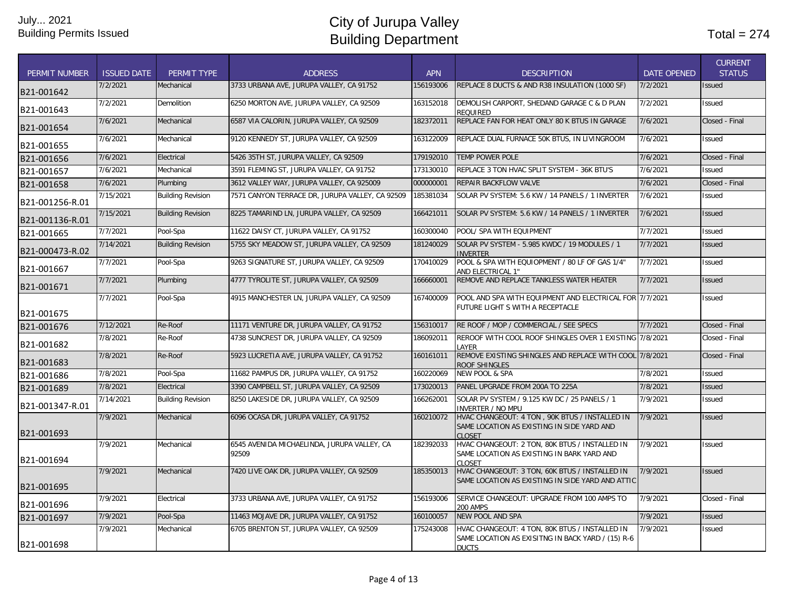| <b>PERMIT NUMBER</b> | <b>ISSUED DATE</b> | <b>PERMIT TYPE</b>       | <b>ADDRESS</b>                                       | <b>APN</b> | <b>DESCRIPTION</b>                                                                                                  | <b>DATE OPENED</b> | <b>CURRENT</b><br><b>STATUS</b> |
|----------------------|--------------------|--------------------------|------------------------------------------------------|------------|---------------------------------------------------------------------------------------------------------------------|--------------------|---------------------------------|
| B21-001642           | 7/2/2021           | Mechanical               | 3733 URBANA AVE, JURUPA VALLEY, CA 91752             | 156193006  | REPLACE 8 DUCTS & AND R38 INSULATION (1000 SF)                                                                      | 7/2/2021           | Issued                          |
| B21-001643           | 7/2/2021           | Demolition               | 6250 MORTON AVE, JURUPA VALLEY, CA 92509             | 163152018  | DEMOLISH CARPORT, SHEDAND GARAGE C & D PLAN<br>REQUIRED                                                             | 7/2/2021           | Issued                          |
| B21-001654           | 7/6/2021           | Mechanical               | 6587 VIA CALORIN, JURUPA VALLEY, CA 92509            | 182372011  | REPLACE FAN FOR HEAT ONLY 80 K BTUS IN GARAGE                                                                       | 7/6/2021           | Closed - Final                  |
| B21-001655           | 7/6/2021           | Mechanical               | 9120 KENNEDY ST, JURUPA VALLEY, CA 92509             | 163122009  | REPLACE DUAL FURNACE 50K BTUS, IN LIVINGROOM                                                                        | 7/6/2021           | Issued                          |
| B21-001656           | 7/6/2021           | Electrical               | 5426 35TH ST, JURUPA VALLEY, CA 92509                | 179192010  | <b>TEMP POWER POLE</b>                                                                                              | 7/6/2021           | Closed - Final                  |
| B21-001657           | 7/6/2021           | Mechanical               | 3591 FLEMING ST, JURUPA VALLEY, CA 91752             | 173130010  | REPLACE 3 TON HVAC SPLIT SYSTEM - 36K BTU'S                                                                         | 7/6/2021           | Issued                          |
| B21-001658           | 7/6/2021           | Plumbing                 | 3612 VALLEY WAY, JURUPA VALLEY, CA 925009            | 000000001  | REPAIR BACKFLOW VALVE                                                                                               | 7/6/2021           | Closed - Final                  |
| B21-001256-R.01      | 7/15/2021          | <b>Building Revision</b> | 7571 CANYON TERRACE DR, JURUPA VALLEY, CA 92509      | 185381034  | SOLAR PV SYSTEM: 5.6 KW / 14 PANELS / 1 INVERTER                                                                    | 7/6/2021           | Issued                          |
| B21-001136-R.01      | 7/15/2021          | <b>Building Revision</b> | 8225 TAMARIND LN, JURUPA VALLEY, CA 92509            | 166421011  | SOLAR PV SYSTEM: 5.6 KW / 14 PANELS / 1 INVERTER                                                                    | 7/6/2021           | <b>Issued</b>                   |
| B21-001665           | 7/7/2021           | Pool-Spa                 | 11622 DAISY CT, JURUPA VALLEY, CA 91752              | 160300040  | POOL/ SPA WITH EQUIPMENT                                                                                            | 7/7/2021           | Issued                          |
| B21-000473-R.02      | 7/14/2021          | <b>Building Revision</b> | 5755 SKY MEADOW ST, JURUPA VALLEY, CA 92509          | 181240029  | SOLAR PV SYSTEM - 5.985 KWDC / 19 MODULES / 1<br><b>INVERTER</b>                                                    | 7/7/2021           | Issued                          |
| B21-001667           | 7/7/2021           | Pool-Spa                 | 9263 SIGNATURE ST, JURUPA VALLEY, CA 92509           | 170410029  | POOL & SPA WITH EQUIOPMENT / 80 LF OF GAS 1/4"<br>AND ELECTRICAL 1"                                                 | 7/7/2021           | Issued                          |
| B21-001671           | 7/7/2021           | Plumbing                 | 4777 TYROLITE ST, JURUPA VALLEY, CA 92509            | 166660001  | REMOVE AND REPLACE TANKLESS WATER HEATER                                                                            | 7/7/2021           | <b>Issued</b>                   |
| B21-001675           | 7/7/2021           | Pool-Spa                 | 4915 MANCHESTER LN, JURUPA VALLEY, CA 92509          | 167400009  | POOL AND SPA WITH EQUIPMENT AND ELECTRICAL FOR 7/7/2021<br>FUTURE LIGHT S WITH A RECEPTACLE                         |                    | Issued                          |
| B21-001676           | 7/12/2021          | Re-Roof                  | 11171 VENTURE DR, JURUPA VALLEY, CA 91752            | 156310017  | RE ROOF / MOP / COMMERCIAL / SEE SPECS                                                                              | 7/7/2021           | Closed - Final                  |
| B21-001682           | 7/8/2021           | Re-Roof                  | 4738 SUNCREST DR, JURUPA VALLEY, CA 92509            | 186092011  | REROOF WITH COOL ROOF SHINGLES OVER 1 EXISTING 7/8/2021<br>LAYER                                                    |                    | Closed - Final                  |
| B21-001683           | 7/8/2021           | Re-Roof                  | 5923 LUCRETIA AVE, JURUPA VALLEY, CA 91752           | 160161011  | REMOVE EXISTING SHINGLES AND REPLACE WITH COOL 7/8/2021<br>ROOF SHINGLES                                            |                    | Closed - Final                  |
| B21-001686           | 7/8/2021           | Pool-Spa                 | 11682 PAMPUS DR, JURUPA VALLEY, CA 91752             | 160220069  | NEW POOL & SPA                                                                                                      | 7/8/2021           | Issued                          |
| B21-001689           | 7/8/2021           | Electrical               | 3390 CAMPBELL ST, JURUPA VALLEY, CA 92509            | 173020013  | PANEL UPGRADE FROM 200A TO 225A                                                                                     | 7/8/2021           | Issued                          |
| B21-001347-R.01      | 7/14/2021          | <b>Building Revision</b> | 8250 LAKESIDE DR, JURUPA VALLEY, CA 92509            | 166262001  | SOLAR PV SYSTEM / 9.125 KW DC / 25 PANELS / 1<br>INVERTER / NO MPU                                                  | 7/9/2021           | Issued                          |
| B21-001693           | 7/9/2021           | Mechanical               | 6096 OCASA DR, JURUPA VALLEY, CA 91752               | 160210072  | HVAC CHANGEOUT: 4 TON, 90K BTUS / INSTALLED IN<br>SAME LOCATION AS EXISTING IN SIDE YARD AND<br>CLOSET              | 7/9/2021           | <b>Issued</b>                   |
| B21-001694           | 7/9/2021           | Mechanical               | 6545 AVENIDA MICHAELINDA, JURUPA VALLEY, CA<br>92509 | 182392033  | HVAC CHANGEOUT: 2 TON, 80K BTUS / INSTALLED IN<br>SAME LOCATION AS EXISTING IN BARK YARD AND<br>CLOSET              | 7/9/2021           | Issued                          |
| B21-001695           | 7/9/2021           | Mechanical               | 7420 LIVE OAK DR, JURUPA VALLEY, CA 92509            | 185350013  | HVAC CHANGEOUT: 3 TON, 60K BTUS / INSTALLED IN<br>SAME LOCATION AS EXISTING IN SIDE YARD AND ATTIC                  | 7/9/2021           | <b>Issued</b>                   |
| B21-001696           | 7/9/2021           | Electrical               | 3733 URBANA AVE, JURUPA VALLEY, CA 91752             | 156193006  | SERVICE CHANGEOUT: UPGRADE FROM 100 AMPS TO<br><b>200 AMPS</b>                                                      | 7/9/2021           | Closed - Final                  |
| B21-001697           | 7/9/2021           | Pool-Spa                 | 11463 MOJAVE DR. JURUPA VALLEY. CA 91752             | 160100057  | <b>NEW POOL AND SPA</b>                                                                                             | 7/9/2021           | Issued                          |
| B21-001698           | 7/9/2021           | Mechanical               | 6705 BRENTON ST, JURUPA VALLEY, CA 92509             | 175243008  | HVAC CHANGEOUT: 4 TON, 80K BTUS / INSTALLED IN<br>SAME LOCATION AS EXISITNG IN BACK YARD / (15) R-6<br><b>DUCTS</b> | 7/9/2021           | Issued                          |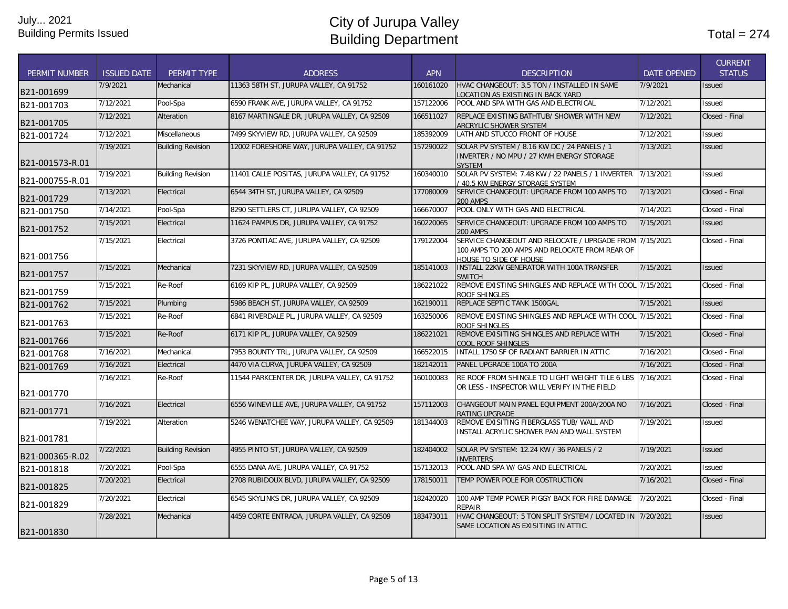| <b>PERMIT NUMBER</b> | <b>ISSUED DATE</b> | PERMIT TYPE              | <b>ADDRESS</b>                               | <b>APN</b> | <b>DESCRIPTION</b>                                                                                                                  | <b>DATE OPENED</b> | <b>CURRENT</b><br><b>STATUS</b> |
|----------------------|--------------------|--------------------------|----------------------------------------------|------------|-------------------------------------------------------------------------------------------------------------------------------------|--------------------|---------------------------------|
| B21-001699           | 7/9/2021           | Mechanical               | 11363 58TH ST, JURUPA VALLEY, CA 91752       | 160161020  | HVAC CHANGEOUT: 3.5 TON / INSTALLED IN SAME<br>LOCATION AS EXISTING IN BACK YARD                                                    | 7/9/2021           | Issued                          |
| B21-001703           | 7/12/2021          | Pool-Spa                 | 6590 FRANK AVE, JURUPA VALLEY, CA 91752      | 157122006  | POOL AND SPA WITH GAS AND ELECTRICAL                                                                                                | 7/12/2021          | Issued                          |
| B21-001705           | 7/12/2021          | Alteration               | 8167 MARTINGALE DR, JURUPA VALLEY, CA 92509  | 166511027  | REPLACE EXISTING BATHTUB/ SHOWER WITH NEW<br>ARCRYLIC SHOWER SYSTEM                                                                 | 7/12/2021          | Closed - Final                  |
| B21-001724           | 7/12/2021          | Miscellaneous            | 7499 SKYVIEW RD, JURUPA VALLEY, CA 92509     | 185392009  | LATH AND STUCCO FRONT OF HOUSE                                                                                                      | 7/12/2021          | Issued                          |
| B21-001573-R.01      | 7/19/2021          | <b>Building Revision</b> | 12002 FORESHORE WAY, JURUPA VALLEY, CA 91752 | 157290022  | SOLAR PV SYSTEM / 8.16 KW DC / 24 PANELS / 1<br>INVERTER / NO MPU / 27 KWH ENERGY STORAGE<br><b>SYSTEM</b>                          | 7/13/2021          | Issued                          |
| B21-000755-R.01      | 7/19/2021          | <b>Building Revision</b> | 11401 CALLE POSITAS, JURUPA VALLEY, CA 91752 | 160340010  | SOLAR PV SYSTEM: 7.48 KW / 22 PANELS / 1 INVERTER 7/13/2021<br>/ 40.5 KW ENERGY STORAGE SYSTEM                                      |                    | <b>Issued</b>                   |
| B21-001729           | 7/13/2021          | Electrical               | 6544 34TH ST, JURUPA VALLEY, CA 92509        | 177080009  | SERVICE CHANGEOUT: UPGRADE FROM 100 AMPS TO<br><b>200 AMPS</b>                                                                      | 7/13/2021          | Closed - Final                  |
| B21-001750           | 7/14/2021          | Pool-Spa                 | 8290 SETTLERS CT, JURUPA VALLEY, CA 92509    | 166670007  | POOL ONLY WITH GAS AND ELECTRICAL                                                                                                   | 7/14/2021          | Closed - Final                  |
| B21-001752           | 7/15/2021          | Electrical               | 11624 PAMPUS DR. JURUPA VALLEY. CA 91752     | 160220065  | SERVICE CHANGEOUT: UPGRADE FROM 100 AMPS TO<br><b>200 AMPS</b>                                                                      | 7/15/2021          | Issued                          |
| B21-001756           | 7/15/2021          | Electrical               | 3726 PONTIAC AVE, JURUPA VALLEY, CA 92509    | 179122004  | SERVICE CHANGEOUT AND RELOCATE / UPRGADE FROM 7/15/2021<br>100 AMPS TO 200 AMPS AND RELOCATE FROM REAR OF<br>HOUSE TO SIDE OF HOUSE |                    | Closed - Final                  |
| B21-001757           | 7/15/2021          | Mechanical               | 7231 SKYVIEW RD, JURUPA VALLEY, CA 92509     | 185141003  | INSTALL 22KW GENERATOR WITH 100A TRANSFER<br><b>SWITCH</b>                                                                          | 7/15/2021          | <b>Issued</b>                   |
| B21-001759           | 7/15/2021          | Re-Roof                  | 6169 KIP PL, JURUPA VALLEY, CA 92509         | 186221022  | REMOVE EXISTING SHINGLES AND REPLACE WITH COOL 7/15/2021<br><b>ROOF SHINGLES</b>                                                    |                    | Closed - Final                  |
| B21-001762           | 7/15/2021          | Plumbing                 | 5986 BEACH ST. JURUPA VALLEY. CA 92509       | 162190011  | REPLACE SEPTIC TANK 1500GAL                                                                                                         | 7/15/2021          | <b>Issued</b>                   |
| B21-001763           | 7/15/2021          | Re-Roof                  | 6841 RIVERDALE PL, JURUPA VALLEY, CA 92509   | 163250006  | REMOVE EXISTING SHINGLES AND REPLACE WITH COOL 7/15/2021<br><b>ROOF SHINGLES</b>                                                    |                    | Closed - Final                  |
| B21-001766           | 7/15/2021          | Re-Roof                  | 6171 KIP PL, JURUPA VALLEY, CA 92509         | 186221021  | REMOVE EXISITING SHINGLES AND REPLACE WITH<br>COOL ROOF SHINGLES                                                                    | 7/15/2021          | Closed - Final                  |
| B21-001768           | 7/16/2021          | Mechanical               | 7953 BOUNTY TRL, JURUPA VALLEY, CA 92509     | 166522015  | INTALL 1750 SF OF RADIANT BARRIER IN ATTIC                                                                                          | 7/16/2021          | Closed - Final                  |
| B21-001769           | 7/16/2021          | Electrical               | 4470 VIA CURVA, JURUPA VALLEY, CA 92509      | 182142011  | PANEL UPGRADE 100A TO 200A                                                                                                          | 7/16/2021          | Closed - Final                  |
| B21-001770           | 7/16/2021          | Re-Roof                  | 11544 PARKCENTER DR, JURUPA VALLEY, CA 91752 | 160100083  | RE ROOF FROM SHINGLE TO LIGHT WEIGHT TILE 6 LBS 7/16/2021<br>OR LESS - INSPECTOR WILL VERIFY IN THE FIELD                           |                    | Closed - Final                  |
| B21-001771           | 7/16/2021          | Electrical               | 6556 WINEVILLE AVE, JURUPA VALLEY, CA 91752  | 157112003  | CHANGEOUT MAIN PANEL EQUIPMENT 200A/200A NO<br><b>RATING UPGRADE</b>                                                                | 7/16/2021          | Closed - Final                  |
| B21-001781           | 7/19/2021          | Alteration               | 5246 WENATCHEE WAY, JURUPA VALLEY, CA 92509  | 181344003  | REMOVE EXISITING FIBERGLASS TUB/ WALL AND<br>INSTALL ACRYLIC SHOWER PAN AND WALL SYSTEM                                             | 7/19/2021          | Issued                          |
| B21-000365-R.02      | 7/22/2021          | <b>Building Revision</b> | 4955 PINTO ST, JURUPA VALLEY, CA 92509       | 182404002  | SOLAR PV SYSTEM: 12.24 KW / 36 PANELS / 2<br><b>INVERTERS</b>                                                                       | 7/19/2021          | <b>Issued</b>                   |
| B21-001818           | 7/20/2021          | Pool-Spa                 | 6555 DANA AVE, JURUPA VALLEY, CA 91752       | 157132013  | POOL AND SPA W/ GAS AND ELECTRICAL                                                                                                  | 7/20/2021          | Issued                          |
| B21-001825           | 7/20/2021          | Electrical               | 2708 RUBIDOUX BLVD, JURUPA VALLEY, CA 92509  | 178150011  | TEMP POWER POLE FOR COSTRUCTION                                                                                                     | 7/16/2021          | Closed - Final                  |
| B21-001829           | 7/20/2021          | Electrical               | 6545 SKYLINKS DR, JURUPA VALLEY, CA 92509    | 182420020  | 100 AMP TEMP POWER PIGGY BACK FOR FIRE DAMAGE<br>REPAIR                                                                             | 7/20/2021          | Closed - Final                  |
| B21-001830           | 7/28/2021          | Mechanical               | 4459 CORTE ENTRADA, JURUPA VALLEY, CA 92509  | 183473011  | HVAC CHANGEOUT: 5 TON SPLIT SYSTEM / LOCATED IN 7/20/2021<br>SAME LOCATION AS EXISITING IN ATTIC.                                   |                    | <b>Issued</b>                   |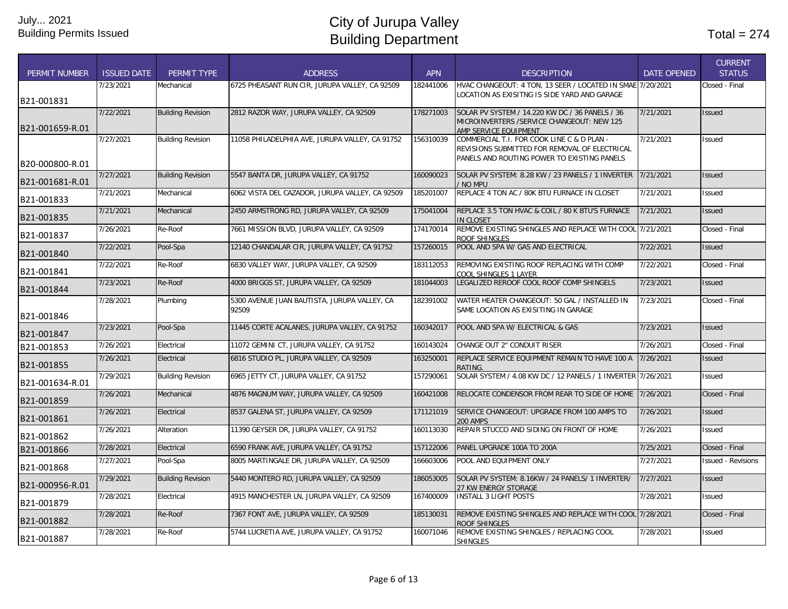|                      |                    |                          |                                                 |            |                                                                                  |                    | <b>CURRENT</b>            |
|----------------------|--------------------|--------------------------|-------------------------------------------------|------------|----------------------------------------------------------------------------------|--------------------|---------------------------|
| <b>PERMIT NUMBER</b> | <b>ISSUED DATE</b> | PERMIT TYPE              | <b>ADDRESS</b>                                  | <b>APN</b> | <b>DESCRIPTION</b>                                                               | <b>DATE OPENED</b> | <b>STATUS</b>             |
|                      | 7/23/2021          | Mechanical               | 6725 PHEASANT RUN CIR, JURUPA VALLEY, CA 92509  | 182441006  | HVAC CHANGEOUT: 4 TON, 13 SEER / LOCATED IN SMAE 7/20/2021                       |                    | Closed - Final            |
| B21-001831           |                    |                          |                                                 |            | LOCATION AS EXISITNG IS SIDE YARD AND GARAGE                                     |                    |                           |
|                      | 7/22/2021          | <b>Building Revision</b> | 2812 RAZOR WAY, JURUPA VALLEY, CA 92509         | 178271003  | SOLAR PV SYSTEM / 14.220 KW DC / 36 PANELS / 36                                  | 7/21/2021          | <b>Issued</b>             |
| B21-001659-R.01      |                    |                          |                                                 |            | MICROINVERTERS / SERVICE CHANGEOUT: NEW 125                                      |                    |                           |
|                      | 7/27/2021          | <b>Building Revision</b> | 11058 PHILADELPHIA AVE, JURUPA VALLEY, CA 91752 | 156310039  | AMP SERVICE EQUIPMENT<br>COMMERCIAL T.I. FOR COOK LINE C & D PLAN -              | 7/21/2021          | <b>Issued</b>             |
|                      |                    |                          |                                                 |            | REVISIONS SUBMITTED FOR REMOVAL OF ELECTRICAL                                    |                    |                           |
| B20-000800-R.01      |                    |                          |                                                 |            | PANELS AND ROUTING POWER TO EXISTING PANELS                                      |                    |                           |
|                      | 7/27/2021          | <b>Building Revision</b> | 5547 BANTA DR, JURUPA VALLEY, CA 91752          | 160090023  | SOLAR PV SYSTEM: 8.28 KW / 23 PANELS / 1 INVERTER                                | 7/21/2021          | <b>Issued</b>             |
| B21-001681-R.01      |                    |                          |                                                 |            | / NO MPU                                                                         |                    |                           |
| B21-001833           | 7/21/2021          | Mechanical               | 6062 VISTA DEL CAZADOR, JURUPA VALLEY, CA 92509 | 185201007  | REPLACE 4 TON AC / 80K BTU FURNACE IN CLOSET                                     | 7/21/2021          | <b>Issued</b>             |
| B21-001835           | 7/21/2021          | Mechanical               | 2450 ARMSTRONG RD, JURUPA VALLEY, CA 92509      | 175041004  | REPLACE 3.5 TON HVAC & COIL / 80 K BTU'S FURNACE<br><b>IN CLOSET</b>             | 7/21/2021          | <b>Issued</b>             |
| B21-001837           | 7/26/2021          | Re-Roof                  | 7661 MISSION BLVD, JURUPA VALLEY, CA 92509      | 174170014  | REMOVE EXISTING SHINGLES AND REPLACE WITH COOL 7/21/2021<br>ROOF SHINGLES        |                    | Closed - Final            |
| B21-001840           | 7/22/2021          | Pool-Spa                 | 12140 CHANDALAR CIR, JURUPA VALLEY, CA 91752    | 157260015  | POOL AND SPA W/ GAS AND ELECTRICAL                                               | 7/22/2021          | <b>Issued</b>             |
| B21-001841           | 7/22/2021          | Re-Roof                  | 6830 VALLEY WAY, JURUPA VALLEY, CA 92509        | 183112053  | REMOVING EXISTING ROOF REPLACING WITH COMP<br>COOL SHINGLES 1 LAYER              | 7/22/2021          | Closed - Final            |
| B21-001844           | 7/23/2021          | Re-Roof                  | 4000 BRIGGS ST, JURUPA VALLEY, CA 92509         | 181044003  | LEGALIZED REROOF COOL ROOF COMP SHINGELS                                         | 7/23/2021          | <b>Issued</b>             |
|                      | 7/28/2021          | Plumbing                 | 5300 AVENUE JUAN BAUTISTA, JURUPA VALLEY, CA    | 182391002  | WATER HEATER CHANGEOUT: 50 GAL / INSTALLED IN                                    | 7/23/2021          | Closed - Final            |
| B21-001846           |                    |                          | 92509                                           |            | SAME LOCATION AS EXISITING IN GARAGE                                             |                    |                           |
|                      | 7/23/2021          | Pool-Spa                 | 11445 CORTE ACALANES, JURUPA VALLEY, CA 91752   | 160342017  | POOL AND SPA W/ ELECTRICAL & GAS                                                 | 7/23/2021          | <b>Issued</b>             |
| B21-001847           | 7/26/2021          | Electrical               | 11072 GEMINI CT, JURUPA VALLEY, CA 91752        | 160143024  | CHANGE OUT 2" CONDUIT RISER                                                      | 7/26/2021          | Closed - Final            |
| B21-001853           | 7/26/2021          | Electrical               | 6816 STUDIO PL, JURUPA VALLEY, CA 92509         | 163250001  | REPLACE SERVICE EQUIPMENT REMAIN TO HAVE 100 A                                   | 7/26/2021          | <b>Issued</b>             |
| B21-001855           |                    |                          |                                                 |            | RATING.                                                                          |                    |                           |
| B21-001634-R.01      | 7/29/2021          | <b>Building Revision</b> | 6965 JETTY CT, JURUPA VALLEY, CA 91752          | 157290061  | SOLAR SYSTEM / 4.08 KW DC / 12 PANELS / 1 INVERTER 7/26/2021                     |                    | <b>Issued</b>             |
| B21-001859           | 7/26/2021          | Mechanical               | 4876 MAGNUM WAY, JURUPA VALLEY, CA 92509        | 160421008  | RELOCATE CONDENSOR FROM REAR TO SIDE OF HOME 7/26/2021                           |                    | Closed - Final            |
| B21-001861           | 7/26/2021          | Electrical               | 8537 GALENA ST, JURUPA VALLEY, CA 92509         | 171121019  | SERVICE CHANGEOUT: UPGRADE FROM 100 AMPS TO<br><b>200 AMPS</b>                   | 7/26/2021          | <b>Issued</b>             |
| B21-001862           | 7/26/2021          | <b>Alteration</b>        | 11390 GEYSER DR, JURUPA VALLEY, CA 91752        | 160113030  | REPAIR STUCCO AND SIDING ON FRONT OF HOME                                        | 7/26/2021          | <b>Issued</b>             |
| B21-001866           | 7/28/2021          | Electrical               | 6590 FRANK AVE, JURUPA VALLEY, CA 91752         | 157122006  | PANEL UPGRADE 100A TO 200A                                                       | 7/25/2021          | Closed - Final            |
|                      | 7/27/2021          | Pool-Spa                 | 8005 MARTINGALE DR, JURUPA VALLEY, CA 92509     | 166603006  | POOL AND EQUIPMENT ONLY                                                          | 7/27/2021          | <b>Issued - Revisions</b> |
| B21-001868           |                    |                          |                                                 |            |                                                                                  |                    |                           |
| B21-000956-R.01      | 7/29/2021          | <b>Building Revision</b> | 5440 MONTERO RD, JURUPA VALLEY, CA 92509        | 186053005  | SOLAR PV SYSTEM: 8.16KW / 24 PANELS/ 1 INVERTER/<br>27 KW ENERGY STORAGE         | 7/27/2021          | <b>Issued</b>             |
| B21-001879           | 7/28/2021          | Electrical               | 4915 MANCHESTER LN, JURUPA VALLEY, CA 92509     | 167400009  | <b>INSTALL 3 LIGHT POSTS</b>                                                     | 7/28/2021          | Issued                    |
| B21-001882           | 7/28/2021          | Re-Roof                  | 7367 FONT AVE, JURUPA VALLEY, CA 92509          | 185130031  | REMOVE EXISTING SHINGLES AND REPLACE WITH COOL 7/28/2021<br><b>ROOF SHINGLES</b> |                    | Closed - Final            |
| B21-001887           | 7/28/2021          | Re-Roof                  | 5744 LUCRETIA AVE, JURUPA VALLEY, CA 91752      | 160071046  | REMOVE EXISTING SHINGLES / REPLACING COOL                                        | 7/28/2021          | <b>Issued</b>             |
|                      |                    |                          |                                                 |            | <b>SHINGLES</b>                                                                  |                    |                           |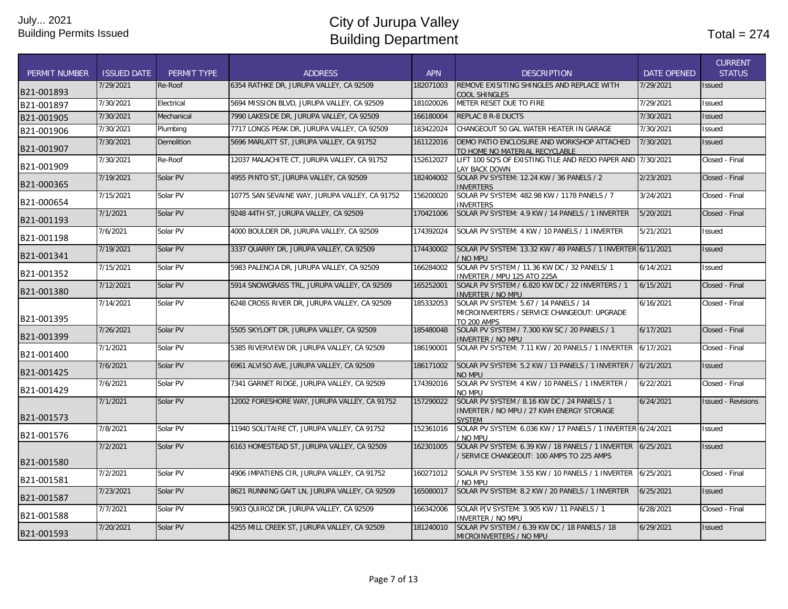| <b>PERMIT NUMBER</b> | <b>ISSUED DATE</b> | PERMIT TYPE | <b>ADDRESS</b>                                 | <b>APN</b> | <b>DESCRIPTION</b>                                                                                          | <b>DATE OPENED</b> | <b>CURRENT</b><br><b>STATUS</b> |
|----------------------|--------------------|-------------|------------------------------------------------|------------|-------------------------------------------------------------------------------------------------------------|--------------------|---------------------------------|
| B21-001893           | 7/29/2021          | Re-Roof     | 6354 RATHKE DR, JURUPA VALLEY, CA 92509        | 182071003  | REMOVE EXISITING SHINGLES AND REPLACE WITH<br>COOL SHINGLES                                                 | 7/29/2021          | <b>Issued</b>                   |
| B21-001897           | 7/30/2021          | Electrical  | 5694 MISSION BLVD, JURUPA VALLEY, CA 92509     | 181020026  | METER RESET DUE TO FIRE                                                                                     | 7/29/2021          | <b>Issued</b>                   |
| B21-001905           | 7/30/2021          | Mechanical  | 7990 LAKESIDE DR. JURUPA VALLEY. CA 92509      | 166180004  | <b>REPLAC 8 R-8 DUCTS</b>                                                                                   | 7/30/2021          | <b>Issued</b>                   |
| B21-001906           | 7/30/2021          | Plumbing    | 7717 LONGS PEAK DR, JURUPA VALLEY, CA 92509    | 183422024  | CHANGEOUT 50 GAL WATER HEATER IN GARAGE                                                                     | 7/30/2021          | <b>Issued</b>                   |
| B21-001907           | 7/30/2021          | Demolition  | 5696 MARLATT ST, JURUPA VALLEY, CA 91752       | 161122016  | DEMO PATIO ENCLOSURE AND WORKSHOP ATTACHED<br>TO HOME NO MATERIAL RECYCLABLE                                | 7/30/2021          | <b>Issued</b>                   |
| B21-001909           | 7/30/2021          | Re-Roof     | 12037 MALACHITE CT. JURUPA VALLEY. CA 91752    | 152612027  | LIFT 100 SQ'S OF EXISTING TILE AND REDO PAPER AND 17/30/2021<br>LAY BACK DOWN                               |                    | Closed - Final                  |
| B21-000365           | 7/19/2021          | Solar PV    | 4955 PINTO ST, JURUPA VALLEY, CA 92509         | 182404002  | SOLAR PV SYSTEM: 12.24 KW / 36 PANELS / 2<br><b>INVERTERS</b>                                               | 2/23/2021          | Closed - Final                  |
| B21-000654           | 7/15/2021          | Solar PV    | 10775 SAN SEVAINE WAY, JURUPA VALLEY, CA 91752 | 156200020  | SOLAR PV SYSTEM: 482.98 KW / 1178 PANELS / 7<br><b>INVERTERS</b>                                            | 3/24/2021          | Closed - Final                  |
| B21-001193           | 7/1/2021           | Solar PV    | 9248 44TH ST, JURUPA VALLEY, CA 92509          | 170421006  | SOLAR PV SYSTEM: 4.9 KW / 14 PANELS / 1 INVERTER                                                            | 5/20/2021          | Closed - Final                  |
| B21-001198           | 7/6/2021           | Solar PV    | 4000 BOULDER DR, JURUPA VALLEY, CA 92509       | 174392024  | SOLAR PV SYSTEM: 4 KW / 10 PANELS / 1 INVERTER                                                              | 5/21/2021          | Issued                          |
| B21-001341           | 7/19/2021          | Solar PV    | 3337 QUARRY DR, JURUPA VALLEY, CA 92509        | 174430002  | SOLAR PV SYSTEM: 13.32 KW / 49 PANELS / 1 INVERTER 6/11/2021<br>/ NO MPU                                    |                    | <b>Issued</b>                   |
| B21-001352           | 7/15/2021          | Solar PV    | 5983 PALENCIA DR, JURUPA VALLEY, CA 92509      | 166284002  | SOLAR PV SYSTEM / 11.36 KW DC / 32 PANELS/ 1<br>INVERTER / MPU 125 ATO 225A                                 | 6/14/2021          | <b>Issued</b>                   |
| B21-001380           | 7/12/2021          | Solar PV    | 5914 SNOWGRASS TRL, JURUPA VALLEY, CA 92509    | 165252001  | SOALR PV SYSTEM / 6.820 KW DC / 22 INVERTERS / 1<br><b>INVERTER / NO MPU</b>                                | 6/15/2021          | Closed - Final                  |
| B21-001395           | 7/14/2021          | Solar PV    | 6248 CROSS RIVER DR, JURUPA VALLEY, CA 92509   | 185332053  | SOLAR PV SYSTEM: 5.67 / 14 PANELS / 14<br>MICROINVERTERS / SERVICE CHANGEOUT: UPGRADE<br><b>TO 200 AMPS</b> | 6/16/2021          | Closed - Final                  |
| B21-001399           | 7/26/2021          | Solar PV    | 5505 SKYLOFT DR, JURUPA VALLEY, CA 92509       | 185480048  | SOLAR PV SYSTEM / 7.300 KW SC / 20 PANELS / 1<br><b>INVERTER / NO MPU</b>                                   | 6/17/2021          | Closed - Final                  |
| B21-001400           | 7/1/2021           | Solar PV    | 5385 RIVERVIEW DR. JURUPA VALLEY, CA 92509     | 186190001  | SOLAR PV SYSTEM: 7.11 KW / 20 PANELS / 1 INVERTER                                                           | 6/17/2021          | Closed - Final                  |
| B21-001425           | 7/6/2021           | Solar PV    | 6961 ALVISO AVE, JURUPA VALLEY, CA 92509       | 186171002  | SOLAR PV SYSTEM: 5.2 KW / 13 PANELS / 1 INVERTER /<br>NO MPU                                                | 6/21/2021          | <b>Issued</b>                   |
| B21-001429           | 7/6/2021           | Solar PV    | 7341 GARNET RIDGE, JURUPA VALLEY, CA 92509     | 174392016  | SOLAR PV SYSTEM: 4 KW / 10 PANELS / 1 INVERTER /<br>NO MPU                                                  | 6/22/2021          | Closed - Final                  |
| B21-001573           | 7/1/2021           | Solar PV    | 12002 FORESHORE WAY, JURUPA VALLEY, CA 91752   | 157290022  | SOLAR PV SYSTEM / 8.16 KW DC / 24 PANELS / 1<br>INVERTER / NO MPU / 27 KWH ENERGY STORAGE<br><b>SYSTEM</b>  | 6/24/2021          | <b>Issued - Revisions</b>       |
| B21-001576           | 7/8/2021           | Solar PV    | 11940 SOLITAIRE CT, JURUPA VALLEY, CA 91752    | 152361016  | SOLAR PV SYSTEM: 6.036 KW / 17 PANELS / 1 INVERTER 6/24/2021<br>NO MPU                                      |                    | Issued                          |
| B21-001580           | 7/2/2021           | Solar PV    | 6163 HOMESTEAD ST, JURUPA VALLEY, CA 92509     | 162301005  | SOLAR PV SYSTEM: 6.39 KW / 18 PANELS / 1 INVERTER<br>SERVICE CHANGEOUT: 100 AMPS TO 225 AMPS                | 6/25/2021          | <b>Issued</b>                   |
| B21-001581           | 7/2/2021           | Solar PV    | 4906 IMPATIENS CIR, JURUPA VALLEY, CA 91752    | 160271012  | SOALR PV SYSTEM: 3.55 KW / 10 PANELS / 1 INVERTER<br>No MPU                                                 | 6/25/2021          | Closed - Final                  |
| B21-001587           | 7/23/2021          | Solar PV    | 8621 RUNNING GAIT LN, JURUPA VALLEY, CA 92509  | 165080017  | SOLAR PV SYSTEM: 8.2 KW / 20 PANELS / 1 INVERTER                                                            | 6/25/2021          | <b>Issued</b>                   |
| B21-001588           | 7/7/2021           | Solar PV    | 5903 QUIROZ DR, JURUPA VALLEY, CA 92509        | 166342006  | SOLAR P[V SYSTEM: 3.905 KW / 11 PANELS / 1<br><b>INVERTER / NO MPU</b>                                      | 6/28/2021          | Closed - Final                  |
| B21-001593           | 7/20/2021          | Solar PV    | 4255 MILL CREEK ST, JURUPA VALLEY, CA 92509    | 181240010  | SOLAR PV SYSTEM / 6.39 KW DC / 18 PANELS / 18<br>MICROINVERTERS / NO MPU                                    | 6/29/2021          | <b>Issued</b>                   |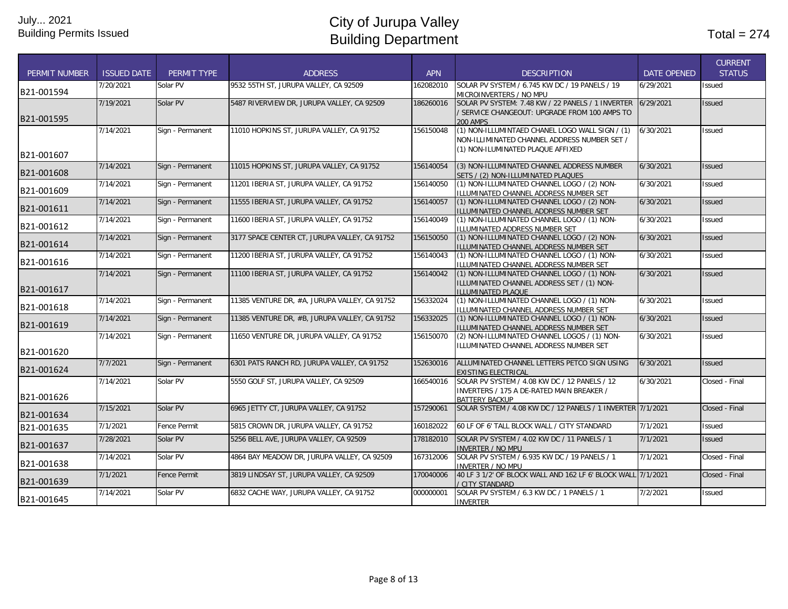| <b>PERMIT NUMBER</b> | <b>ISSUED DATE</b>     | PERMIT TYPE                          | <b>ADDRESS</b>                                                                            | <b>APN</b>             | <b>DESCRIPTION</b>                                                                                                                   | <b>DATE OPENED</b>     | <b>CURRENT</b><br><b>STATUS</b> |
|----------------------|------------------------|--------------------------------------|-------------------------------------------------------------------------------------------|------------------------|--------------------------------------------------------------------------------------------------------------------------------------|------------------------|---------------------------------|
| B21-001594           | 7/20/2021              | Solar PV                             | 9532 55TH ST. JURUPA VALLEY. CA 92509                                                     | 162082010              | SOLAR PV SYSTEM / 6.745 KW DC / 19 PANELS / 19<br>MICROINVERTERS / NO MPU                                                            | 6/29/2021              | <b>Issued</b>                   |
| B21-001595           | 7/19/2021              | Solar PV                             | 5487 RIVERVIEW DR, JURUPA VALLEY, CA 92509                                                | 186260016              | SOLAR PV SYSTEM: 7.48 KW / 22 PANELS / 1 INVERTER<br>/ SERVICE CHANGEOUT: UPGRADE FROM 100 AMPS TO<br><b>200 AMPS</b>                | 6/29/2021              | <b>Issued</b>                   |
| B21-001607           | 7/14/2021              | Sign - Permanent                     | 11010 HOPKINS ST, JURUPA VALLEY, CA 91752                                                 | 156150048              | (1) NON-ILLUMINTAED CHANEL LOGO WALL SIGN / (1)<br>NON-ILLIMINATED CHANNEL ADDRESS NUMBER SET /<br>(1) NON-ILUMINATED PLAQUE AFFIXED | 6/30/2021              | <b>Issued</b>                   |
| B21-001608           | 7/14/2021              | Sign - Permanent                     | 11015 HOPKINS ST, JURUPA VALLEY, CA 91752                                                 | 156140054              | (3) NON-ILLUMINATED CHANNEL ADDRESS NUMBER<br>SETS / (2) NON-ILLUMINATED PLAQUES                                                     | 6/30/2021              | <b>Issued</b>                   |
| B21-001609           | 7/14/2021              | Sign - Permanent                     | 11201 IBERIA ST, JURUPA VALLEY, CA 91752                                                  | 156140050              | (1) NON-ILLUMINATED CHANNEL LOGO / (2) NON-<br>ILLUMINATED CHANNEL ADDRESS NUMBER SET                                                | 6/30/2021              | <b>Issued</b>                   |
| B21-001611           | 7/14/2021              | Sign - Permanent                     | 11555 IBERIA ST, JURUPA VALLEY, CA 91752                                                  | 156140057              | (1) NON-ILLUMINATED CHANNEL LOGO / (2) NON-<br>ILLUMINATED CHANNEL ADDRESS NUMBER SET                                                | 6/30/2021              | <b>Issued</b>                   |
| B21-001612           | 7/14/2021              | Sign - Permanent                     | 11600 IBERIA ST, JURUPA VALLEY, CA 91752                                                  | 156140049              | (1) NON-ILLUMINATED CHANNEL LOGO / (1) NON-<br>ILLUMINATED ADDRESS NUMBER SET                                                        | 6/30/2021              | Issued                          |
| B21-001614           | 7/14/2021<br>7/14/2021 | Sign - Permanent<br>Sign - Permanent | 3177 SPACE CENTER CT, JURUPA VALLEY, CA 91752<br>11200 IBERIA ST, JURUPA VALLEY, CA 91752 | 156150050<br>156140043 | (1) NON-ILLUMINATED CHANNEL LOGO / (2) NON-<br>ILLUMINATED CHANNEL ADDRESS NUMBER SET<br>(1) NON-ILLUMINATED CHANNEL LOGO / (1) NON- | 6/30/2021<br>6/30/2021 | <b>Issued</b><br>Issued         |
| B21-001616           | 7/14/2021              | Sign - Permanent                     | 11100 IBERIA ST, JURUPA VALLEY, CA 91752                                                  | 156140042              | ILLUMINATED CHANNEL ADDRESS NUMBER SET<br>(1) NON-ILLUMINATED CHANNEL LOGO / (1) NON-                                                | 6/30/2021              | <b>Issued</b>                   |
| B21-001617           |                        |                                      |                                                                                           |                        | ILLUMINATED CHANNEL ADDRESS SET / (1) NON-<br>ILLUMINATED PLAQUE                                                                     |                        |                                 |
| B21-001618           | 7/14/2021              | Sign - Permanent                     | 11385 VENTURE DR. #A. JURUPA VALLEY. CA 91752                                             | 156332024              | (1) NON-ILLUMINATED CHANNEL LOGO / (1) NON-<br>ILLUMINATED CHANNEL ADDRESS NUMBER SET                                                | 6/30/2021              | Issued                          |
| B21-001619           | 7/14/2021              | Sign - Permanent                     | 11385 VENTURE DR, #B, JURUPA VALLEY, CA 91752                                             | 156332025              | (1) NON-ILLUMINATED CHANNEL LOGO / (1) NON-<br>ILLUMINATED CHANNEL ADDRESS NUMBER SET                                                | 6/30/2021              | <b>Issued</b>                   |
| B21-001620           | 7/14/2021              | Sign - Permanent                     | 11650 VENTURE DR, JURUPA VALLEY, CA 91752                                                 | 156150070              | (2) NON-ILLUMINATED CHANNEL LOGOS / (1) NON-<br>ILLUMINATED CHANNEL ADDRESS NUMBER SET                                               | 6/30/2021              | Issued                          |
| B21-001624           | 7/7/2021               | Sign - Permanent                     | 6301 PATS RANCH RD, JURUPA VALLEY, CA 91752                                               | 152630016              | ALLUMINATED CHANNEL LETTERS PETCO SIGN USING<br><b>EXISTING ELECTRICAL</b>                                                           | 6/30/2021              | <b>Issued</b>                   |
| B21-001626           | 7/14/2021              | Solar PV                             | 5550 GOLF ST, JURUPA VALLEY, CA 92509                                                     | 166540016              | SOLAR PV SYSTEM / 4.08 KW DC / 12 PANELS / 12<br>INVERTERS / 175 A DE-RATED MAIN BREAKER /<br>BATTERY BACKUP                         | 6/30/2021              | Closed - Final                  |
| B21-001634           | 7/15/2021              | Solar PV                             | 6965 JETTY CT, JURUPA VALLEY, CA 91752                                                    | 157290061              | SOLAR SYSTEM / 4.08 KW DC / 12 PANELS / 1 INVERTER 7/1/2021                                                                          |                        | Closed - Final                  |
| B21-001635           | 7/1/2021               | <b>Fence Permit</b>                  | 5815 CROWN DR, JURUPA VALLEY, CA 91752                                                    | 160182022              | 60 LF OF 6' TALL BLOCK WALL / CITY STANDARD                                                                                          | 7/1/2021               | Issued                          |
| B21-001637           | 7/28/2021              | Solar PV                             | 5256 BELL AVE, JURUPA VALLEY, CA 92509                                                    | 178182010              | SOLAR PV SYSTEM / 4.02 KW DC / 11 PANELS / 1<br><b>INVERTER / NO MPU</b>                                                             | 7/1/2021               | <b>Issued</b>                   |
| B21-001638           | 7/14/2021              | Solar PV                             | 4864 BAY MEADOW DR. JURUPA VALLEY, CA 92509                                               | 167312006              | SOLAR PV SYSTEM / 6.935 KW DC / 19 PANELS / 1<br><b>INVERTER / NO MPU</b>                                                            | 7/1/2021               | Closed - Final                  |
| B21-001639           | 7/1/2021               | Fence Permit                         | 3819 LINDSAY ST, JURUPA VALLEY, CA 92509                                                  | 170040006              | 40 LF 3 1/2' OF BLOCK WALL AND 162 LF 6' BLOCK WALL 7/1/2021<br>/ CITY STANDARD                                                      |                        | Closed - Final                  |
| B21-001645           | 7/14/2021              | Solar PV                             | 6832 CACHE WAY, JURUPA VALLEY, CA 91752                                                   | 000000001              | SOLAR PV SYSTEM / 6.3 KW DC / 1 PANELS / 1<br><b>INVERTER</b>                                                                        | 7/2/2021               | <b>Issued</b>                   |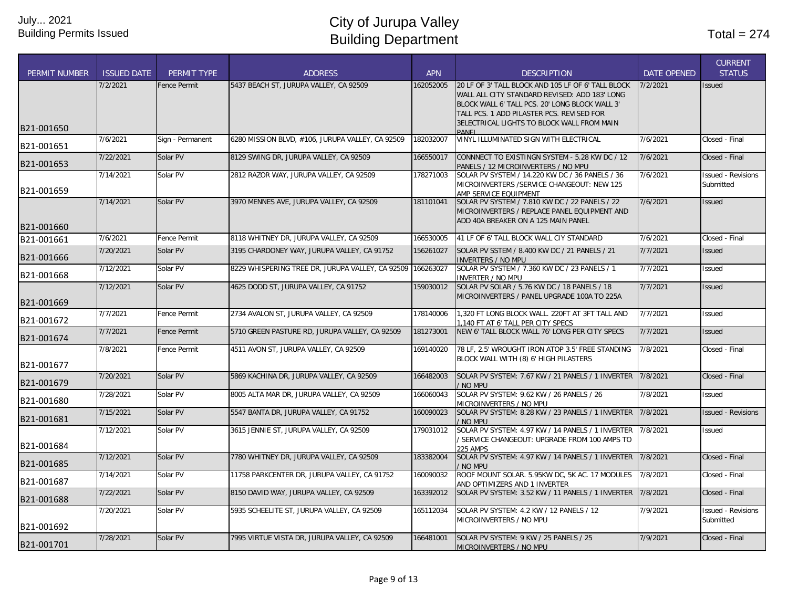|                      |                    |                     |                                                            |            |                                                                                                                                                                                                                                                         |                    | <b>CURRENT</b>                         |
|----------------------|--------------------|---------------------|------------------------------------------------------------|------------|---------------------------------------------------------------------------------------------------------------------------------------------------------------------------------------------------------------------------------------------------------|--------------------|----------------------------------------|
| <b>PERMIT NUMBER</b> | <b>ISSUED DATE</b> | <b>PERMIT TYPE</b>  | <b>ADDRESS</b>                                             | <b>APN</b> | <b>DESCRIPTION</b>                                                                                                                                                                                                                                      | <b>DATE OPENED</b> | <b>STATUS</b>                          |
| B21-001650           | 7/2/2021           | <b>Fence Permit</b> | 5437 BEACH ST, JURUPA VALLEY, CA 92509                     | 162052005  | 20 LF OF 3' TALL BLOCK AND 105 LF OF 6' TALL BLOCK<br>WALL ALL CITY STANDARD REVISED: ADD 183' LONG<br>BLOCK WALL 6' TALL PCS. 20' LONG BLOCK WALL 3'<br>TALL PCS. 1 ADD PILASTER PCS. REVISED FOR<br><b>3ELECTRICAL LIGHTS TO BLOCK WALL FROM MAIN</b> | 7/2/2021           | <b>Issued</b>                          |
|                      | 7/6/2021           | Sign - Permanent    | 6280 MISSION BLVD, #106, JURUPA VALLEY, CA 92509           | 182032007  | <b>PANEL</b><br>VINYL ILLUMINATED SIGN WITH ELECTRICAL                                                                                                                                                                                                  | 7/6/2021           | Closed - Final                         |
| B21-001651           | 7/22/2021          | Solar PV            | 8129 SWING DR, JURUPA VALLEY, CA 92509                     | 166550017  | CONNNECT TO EXISTINGN SYSTEM - 5.28 KW DC / 12                                                                                                                                                                                                          | 7/6/2021           | Closed - Final                         |
| B21-001653           |                    |                     |                                                            |            | PANELS / 12 MICROINVERTERS / NO MPU                                                                                                                                                                                                                     |                    |                                        |
| B21-001659           | 7/14/2021          | Solar PV            | 2812 RAZOR WAY, JURUPA VALLEY, CA 92509                    | 178271003  | SOLAR PV SYSTEM / 14.220 KW DC / 36 PANELS / 36<br>MICROINVERTERS / SERVICE CHANGEOUT: NEW 125<br>AMP SERVICE EOUIPMENT                                                                                                                                 | 7/6/2021           | <b>Issued - Revisions</b><br>Submitted |
| B21-001660           | 7/14/2021          | Solar PV            | 3970 MENNES AVE, JURUPA VALLEY, CA 92509                   | 181101041  | SOLAR PV SYSTEM / 7.810 KW DC / 22 PANELS / 22<br>MICROINVERTERS / REPLACE PANEL EQUIPMENT AND<br>ADD 40A BREAKER ON A 125 MAIN PANEL                                                                                                                   | 7/6/2021           | <b>Issued</b>                          |
| B21-001661           | 7/6/2021           | Fence Permit        | 8118 WHITNEY DR, JURUPA VALLEY, CA 92509                   | 166530005  | 41 LF OF 6' TALL BLOCK WALL CIY STANDARD                                                                                                                                                                                                                | 7/6/2021           | Closed - Final                         |
| B21-001666           | 7/20/2021          | Solar PV            | 3195 CHARDONEY WAY, JURUPA VALLEY, CA 91752                | 156261027  | SOLAR PV SSTEM / 8.400 KW DC / 21 PANELS / 21<br><b>INVERTERS / NO MPU</b>                                                                                                                                                                              | 7/7/2021           | <b>Issued</b>                          |
| B21-001668           | 7/12/2021          | Solar PV            | 8229 WHISPERING TREE DR, JURUPA VALLEY, CA 92509 166263027 |            | SOLAR PV SYSTEM / 7.360 KW DC / 23 PANELS / 1<br><b>INVERTER / NO MPU</b>                                                                                                                                                                               | 7/7/2021           | Issued                                 |
| B21-001669           | 7/12/2021          | Solar PV            | 4625 DODD ST, JURUPA VALLEY, CA 91752                      | 159030012  | SOLAR PV SOLAR / 5.76 KW DC / 18 PANELS / 18<br>MICROINVERTERS / PANEL UPGRADE 100A TO 225A                                                                                                                                                             | 7/7/2021           | <b>Issued</b>                          |
| B21-001672           | 7/7/2021           | Fence Permit        | 2734 AVALON ST, JURUPA VALLEY, CA 92509                    | 178140006  | 1,320 FT LONG BLOCK WALL. 220FT AT 3FT TALL AND<br>1.140 FT AT 6' TALL PER CITY SPECS                                                                                                                                                                   | 7/7/2021           | <b>Issued</b>                          |
| B21-001674           | 7/7/2021           | <b>Fence Permit</b> | 5710 GREEN PASTURE RD. JURUPA VALLEY, CA 92509             | 181273001  | NEW 6' TALL BLOCK WALL 76' LONG PER CITY SPECS                                                                                                                                                                                                          | 7/7/2021           | <b>Issued</b>                          |
| B21-001677           | 7/8/2021           | Fence Permit        | 4511 AVON ST, JURUPA VALLEY, CA 92509                      | 169140020  | 78 LF. 2.5' WROUGHT IRON ATOP 3.5' FREE STANDING<br>BLOCK WALL WITH (8) 6' HIGH PILASTERS                                                                                                                                                               | 7/8/2021           | Closed - Final                         |
| B21-001679           | 7/20/2021          | Solar PV            | 5869 KACHINA DR, JURUPA VALLEY, CA 92509                   | 166482003  | SOLAR PV SYSTEM: 7.67 KW / 21 PANELS / 1 INVERTER<br>/ NO MPU                                                                                                                                                                                           | 7/8/2021           | Closed - Final                         |
| B21-001680           | 7/28/2021          | Solar PV            | 8005 ALTA MAR DR. JURUPA VALLEY. CA 92509                  | 166060043  | SOLAR PV SYSTEM: 9.62 KW / 26 PANELS / 26<br>MICROINVERTERS / NO MPU                                                                                                                                                                                    | 7/8/2021           | <b>Issued</b>                          |
| B21-001681           | 7/15/2021          | Solar PV            | 5547 BANTA DR, JURUPA VALLEY, CA 91752                     | 160090023  | SOLAR PV SYSTEM: 8.28 KW / 23 PANELS / 1 INVERTER<br>NO MPU                                                                                                                                                                                             | 7/8/2021           | <b>Issued - Revisions</b>              |
| B21-001684           | 7/12/2021          | Solar PV            | 3615 JENNIE ST, JURUPA VALLEY, CA 92509                    | 179031012  | SOLAR PV SYSTEM: 4.97 KW / 14 PANELS / 1 INVERTER<br>/ SERVICE CHANGEOUT: UPGRADE FROM 100 AMPS TO<br><b>225 AMPS</b>                                                                                                                                   | 7/8/2021           | <b>Issued</b>                          |
| B21-001685           | 7/12/2021          | Solar PV            | 7780 WHITNEY DR, JURUPA VALLEY, CA 92509                   | 183382004  | SOLAR PV SYSTEM: 4.97 KW / 14 PANELS / 1 INVERTER<br>/ NO MPU                                                                                                                                                                                           | 7/8/2021           | Closed - Final                         |
| B21-001687           | 7/14/2021          | Solar PV            | 11758 PARKCENTER DR, JURUPA VALLEY, CA 91752               | 160090032  | ROOF MOUNT SOLAR. 5.95KW DC, 5K AC. 17 MODULES<br>AND OPTIMIZERS AND 1 INVERTER                                                                                                                                                                         | 7/8/2021           | Closed - Final                         |
| B21-001688           | 7/22/2021          | Solar PV            | 8150 DAVID WAY, JURUPA VALLEY, CA 92509                    | 163392012  | SOLAR PV SYSTEM: 3.52 KW / 11 PANELS / 1 INVERTER                                                                                                                                                                                                       | 7/8/2021           | Closed - Final                         |
| B21-001692           | 7/20/2021          | Solar PV            | 5935 SCHEELITE ST, JURUPA VALLEY, CA 92509                 | 165112034  | SOLAR PV SYSTEM: 4.2 KW / 12 PANELS / 12<br>MICROINVERTERS / NO MPU                                                                                                                                                                                     | 7/9/2021           | <b>Issued - Revisions</b><br>Submitted |
| B21-001701           | 7/28/2021          | Solar PV            | 7995 VIRTUE VISTA DR, JURUPA VALLEY, CA 92509              | 166481001  | SOLAR PV SYSTEM: 9 KW / 25 PANELS / 25<br>MICROINVERTERS / NO MPU                                                                                                                                                                                       | 7/9/2021           | Closed - Final                         |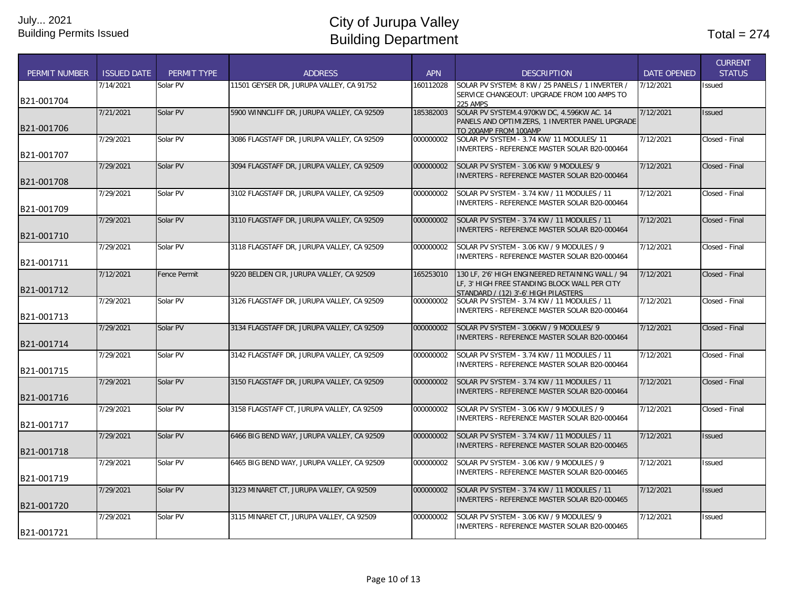| <b>PERMIT NUMBER</b> | <b>ISSUED DATE</b> | <b>PERMIT TYPE</b>  | <b>ADDRESS</b>                             | <b>APN</b> | <b>DESCRIPTION</b>                                                                                                                        | <b>DATE OPENED</b> | <b>CURRENT</b><br><b>STATUS</b> |
|----------------------|--------------------|---------------------|--------------------------------------------|------------|-------------------------------------------------------------------------------------------------------------------------------------------|--------------------|---------------------------------|
| B21-001704           | 7/14/2021          | Solar PV            | 11501 GEYSER DR, JURUPA VALLEY, CA 91752   | 160112028  | SOLAR PV SYSTEM: 8 KW / 25 PANELS / 1 INVERTER /<br>SERVICE CHANGEOUT: UPGRADE FROM 100 AMPS TO<br><b>225 AMPS</b>                        | 7/12/2021          | Issued                          |
| B21-001706           | 7/21/2021          | Solar PV            | 5900 WINNCLIFF DR, JURUPA VALLEY, CA 92509 | 185382003  | SOLAR PV SYSTEM.4.970KW DC, 4.596KW AC. 14<br>PANELS AND OPTIMIZERS, 1 INVERTER PANEL UPGRADE<br>TO 200AMP FROM 100AMP                    | 7/12/2021          | <b>Issued</b>                   |
| B21-001707           | 7/29/2021          | Solar PV            | 3086 FLAGSTAFF DR, JURUPA VALLEY, CA 92509 | 000000002  | SOLAR PV SYSTEM - 3.74 KW/ 11 MODULES/ 11<br><b>INVERTERS - REFERENCE MASTER SOLAR B20-000464</b>                                         | 7/12/2021          | Closed - Final                  |
| B21-001708           | 7/29/2021          | Solar PV            | 3094 FLAGSTAFF DR, JURUPA VALLEY, CA 92509 | 000000002  | SOLAR PV SYSTEM - 3.06 KW/ 9 MODULES/ 9<br>INVERTERS - REFERENCE MASTER SOLAR B20-000464                                                  | 7/12/2021          | Closed - Final                  |
| B21-001709           | 7/29/2021          | Solar PV            | 3102 FLAGSTAFF DR, JURUPA VALLEY, CA 92509 | 000000002  | SOLAR PV SYSTEM - 3.74 KW / 11 MODULES / 11<br>INVERTERS - REFERENCE MASTER SOLAR B20-000464                                              | 7/12/2021          | Closed - Final                  |
| B21-001710           | 7/29/2021          | Solar PV            | 3110 FLAGSTAFF DR, JURUPA VALLEY, CA 92509 | 000000002  | SOLAR PV SYSTEM - 3.74 KW / 11 MODULES / 11<br>INVERTERS - REFERENCE MASTER SOLAR B20-000464                                              | 7/12/2021          | Closed - Final                  |
| B21-001711           | 7/29/2021          | Solar PV            | 3118 FLAGSTAFF DR, JURUPA VALLEY, CA 92509 | 000000002  | SOLAR PV SYSTEM - 3.06 KW / 9 MODULES / 9<br>INVERTERS - REFERENCE MASTER SOLAR B20-000464                                                | 7/12/2021          | Closed - Final                  |
| B21-001712           | 7/12/2021          | <b>Fence Permit</b> | 9220 BELDEN CIR, JURUPA VALLEY, CA 92509   | 165253010  | 130 LF, 2'6' HIGH ENGINEERED RETAINING WALL / 94<br>LF, 3' HIGH FREE STANDING BLOCK WALL PER CITY<br>STANDARD / (12) 3'-6' HIGH PILASTERS | 7/12/2021          | Closed - Final                  |
| B21-001713           | 7/29/2021          | Solar PV            | 3126 FLAGSTAFF DR, JURUPA VALLEY, CA 92509 | 000000002  | SOLAR PV SYSTEM - 3.74 KW / 11 MODULES / 11<br><b>INVERTERS - REFERENCE MASTER SOLAR B20-000464</b>                                       | 7/12/2021          | Closed - Final                  |
| B21-001714           | 7/29/2021          | Solar PV            | 3134 FLAGSTAFF DR, JURUPA VALLEY, CA 92509 | 000000002  | SOLAR PV SYSTEM - 3.06KW / 9 MODULES/ 9<br>INVERTERS - REFERENCE MASTER SOLAR B20-000464                                                  | 7/12/2021          | Closed - Final                  |
| B21-001715           | 7/29/2021          | Solar PV            | 3142 FLAGSTAFF DR, JURUPA VALLEY, CA 92509 | 000000002  | SOLAR PV SYSTEM - 3.74 KW / 11 MODULES / 11<br>INVERTERS - REFERENCE MASTER SOLAR B20-000464                                              | 7/12/2021          | Closed - Final                  |
| B21-001716           | 7/29/2021          | Solar PV            | 3150 FLAGSTAFF DR, JURUPA VALLEY, CA 92509 | 000000002  | SOLAR PV SYSTEM - 3.74 KW / 11 MODULES / 11<br><b>INVERTERS - REFERENCE MASTER SOLAR B20-000464</b>                                       | 7/12/2021          | Closed - Final                  |
| B21-001717           | 7/29/2021          | Solar PV            | 3158 FLAGSTAFF CT, JURUPA VALLEY, CA 92509 | 000000002  | SOLAR PV SYSTEM - 3.06 KW / 9 MODULES / 9<br>INVERTERS - REFERENCE MASTER SOLAR B20-000464                                                | 7/12/2021          | Closed - Final                  |
| B21-001718           | 7/29/2021          | Solar PV            | 6466 BIG BEND WAY, JURUPA VALLEY, CA 92509 | 000000002  | SOLAR PV SYSTEM - 3.74 KW / 11 MODULES / 11<br><b>INVERTERS - REFERENCE MASTER SOLAR B20-000465</b>                                       | 7/12/2021          | <b>Issued</b>                   |
| B21-001719           | 7/29/2021          | Solar PV            | 6465 BIG BEND WAY, JURUPA VALLEY, CA 92509 | 000000002  | SOLAR PV SYSTEM - 3.06 KW / 9 MODULES / 9<br>INVERTERS - REFERENCE MASTER SOLAR B20-000465                                                | 7/12/2021          | Issued                          |
| B21-001720           | 7/29/2021          | Solar PV            | 3123 MINARET CT, JURUPA VALLEY, CA 92509   | 000000002  | SOLAR PV SYSTEM - 3.74 KW / 11 MODULES / 11<br><b>INVERTERS - REFERENCE MASTER SOLAR B20-000465</b>                                       | 7/12/2021          | <b>Issued</b>                   |
| B21-001721           | 7/29/2021          | Solar PV            | 3115 MINARET CT, JURUPA VALLEY, CA 92509   | 000000002  | SOLAR PV SYSTEM - 3.06 KW / 9 MODULES/ 9<br>INVERTERS - REFERENCE MASTER SOLAR B20-000465                                                 | 7/12/2021          | Issued                          |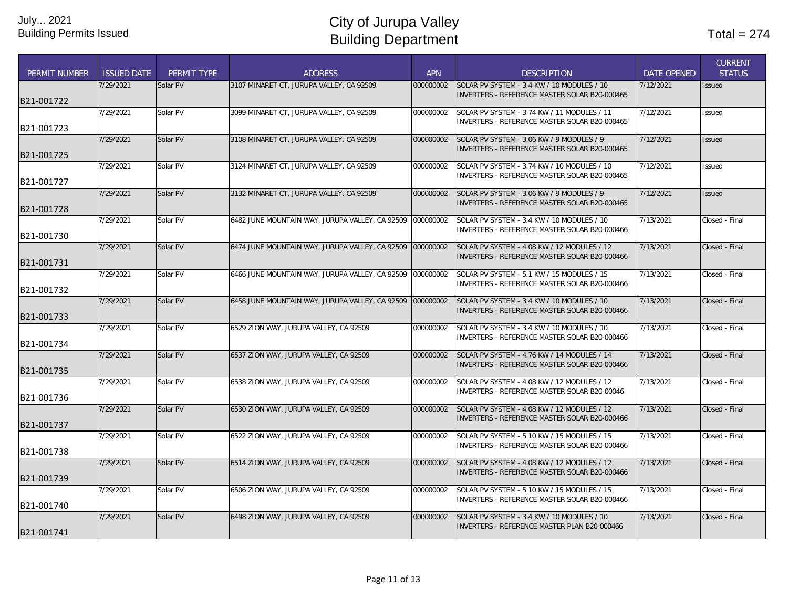| <b>PERMIT NUMBER</b> | <b>ISSUED DATE</b> | PERMIT TYPE | <b>ADDRESS</b>                                  | <b>APN</b> | <b>DESCRIPTION</b>                                                                                  | <b>DATE OPENED</b> | <b>CURRENT</b><br><b>STATUS</b> |
|----------------------|--------------------|-------------|-------------------------------------------------|------------|-----------------------------------------------------------------------------------------------------|--------------------|---------------------------------|
| B21-001722           | 7/29/2021          | Solar PV    | 3107 MINARET CT. JURUPA VALLEY. CA 92509        | 000000002  | SOLAR PV SYSTEM - 3.4 KW / 10 MODULES / 10<br>INVERTERS - REFERENCE MASTER SOLAR B20-000465         | 7/12/2021          | <b>Issued</b>                   |
| B21-001723           | 7/29/2021          | Solar PV    | 3099 MINARET CT. JURUPA VALLEY. CA 92509        | 000000002  | SOLAR PV SYSTEM - 3.74 KW / 11 MODULES / 11<br>INVERTERS - REFERENCE MASTER SOLAR B20-000465        | 7/12/2021          | <b>Issued</b>                   |
| B21-001725           | 7/29/2021          | Solar PV    | 3108 MINARET CT, JURUPA VALLEY, CA 92509        | 000000002  | SOLAR PV SYSTEM - 3.06 KW / 9 MODULES / 9<br>INVERTERS - REFERENCE MASTER SOLAR B20-000465          | 7/12/2021          | <b>Issued</b>                   |
| B21-001727           | 7/29/2021          | Solar PV    | 3124 MINARET CT, JURUPA VALLEY, CA 92509        | 000000002  | SOLAR PV SYSTEM - 3.74 KW / 10 MODULES / 10<br>INVERTERS - REFERENCE MASTER SOLAR B20-000465        | 7/12/2021          | Issued                          |
| B21-001728           | 7/29/2021          | Solar PV    | 3132 MINARET CT, JURUPA VALLEY, CA 92509        | 000000002  | SOLAR PV SYSTEM - 3.06 KW / 9 MODULES / 9<br>INVERTERS - REFERENCE MASTER SOLAR B20-000465          | 7/12/2021          | <b>Issued</b>                   |
| B21-001730           | 7/29/2021          | Solar PV    | 6482 JUNE MOUNTAIN WAY, JURUPA VALLEY, CA 92509 | 000000002  | SOLAR PV SYSTEM - 3.4 KW / 10 MODULES / 10<br>INVERTERS - REFERENCE MASTER SOLAR B20-000466         | 7/13/2021          | Closed - Final                  |
| B21-001731           | 7/29/2021          | Solar PV    | 6474 JUNE MOUNTAIN WAY, JURUPA VALLEY, CA 92509 | 000000002  | SOLAR PV SYSTEM - 4.08 KW / 12 MODULES / 12<br><b>INVERTERS - REFERENCE MASTER SOLAR B20-000466</b> | 7/13/2021          | Closed - Final                  |
| B21-001732           | 7/29/2021          | Solar PV    | 6466 JUNE MOUNTAIN WAY, JURUPA VALLEY, CA 92509 | 000000002  | SOLAR PV SYSTEM - 5.1 KW / 15 MODULES / 15<br>INVERTERS - REFERENCE MASTER SOLAR B20-000466         | 7/13/2021          | Closed - Final                  |
| B21-001733           | 7/29/2021          | Solar PV    | 6458 JUNE MOUNTAIN WAY, JURUPA VALLEY, CA 92509 | 000000002  | SOLAR PV SYSTEM - 3.4 KW / 10 MODULES / 10<br>INVERTERS - REFERENCE MASTER SOLAR B20-000466         | 7/13/2021          | Closed - Final                  |
| B21-001734           | 7/29/2021          | Solar PV    | 6529 ZION WAY, JURUPA VALLEY, CA 92509          | 000000002  | SOLAR PV SYSTEM - 3.4 KW / 10 MODULES / 10<br>INVERTERS - REFERENCE MASTER SOLAR B20-000466         | 7/13/2021          | Closed - Final                  |
| B21-001735           | 7/29/2021          | Solar PV    | 6537 ZION WAY, JURUPA VALLEY, CA 92509          | 000000002  | SOLAR PV SYSTEM - 4.76 KW / 14 MODULES / 14<br>INVERTERS - REFERENCE MASTER SOLAR B20-000466        | 7/13/2021          | Closed - Final                  |
| B21-001736           | 7/29/2021          | Solar PV    | 6538 ZION WAY, JURUPA VALLEY, CA 92509          | 000000002  | SOLAR PV SYSTEM - 4.08 KW / 12 MODULES / 12<br>INVERTERS - REFERENCE MASTER SOLAR B20-00046         | 7/13/2021          | Closed - Final                  |
| B21-001737           | 7/29/2021          | Solar PV    | 6530 ZION WAY, JURUPA VALLEY, CA 92509          | 000000002  | SOLAR PV SYSTEM - 4.08 KW / 12 MODULES / 12<br><b>INVERTERS - REFERENCE MASTER SOLAR B20-000466</b> | 7/13/2021          | Closed - Final                  |
| B21-001738           | 7/29/2021          | Solar PV    | 6522 ZION WAY, JURUPA VALLEY, CA 92509          | 000000002  | SOLAR PV SYSTEM - 5.10 KW / 15 MODULES / 15<br>INVERTERS - REFERENCE MASTER SOLAR B20-000466        | 7/13/2021          | Closed - Final                  |
| B21-001739           | 7/29/2021          | Solar PV    | 6514 ZION WAY, JURUPA VALLEY, CA 92509          | 000000002  | SOLAR PV SYSTEM - 4.08 KW / 12 MODULES / 12<br>INVERTERS - REFERENCE MASTER SOLAR B20-000466        | 7/13/2021          | Closed - Final                  |
| B21-001740           | 7/29/2021          | Solar PV    | 6506 ZION WAY, JURUPA VALLEY, CA 92509          | 000000002  | SOLAR PV SYSTEM - 5.10 KW / 15 MODULES / 15<br>INVERTERS - REFERENCE MASTER SOLAR B20-000466        | 7/13/2021          | Closed - Final                  |
| B21-001741           | 7/29/2021          | Solar PV    | 6498 ZION WAY, JURUPA VALLEY, CA 92509          | 000000002  | SOLAR PV SYSTEM - 3.4 KW / 10 MODULES / 10<br>INVERTERS - REFERENCE MASTER PLAN B20-000466          | 7/13/2021          | Closed - Final                  |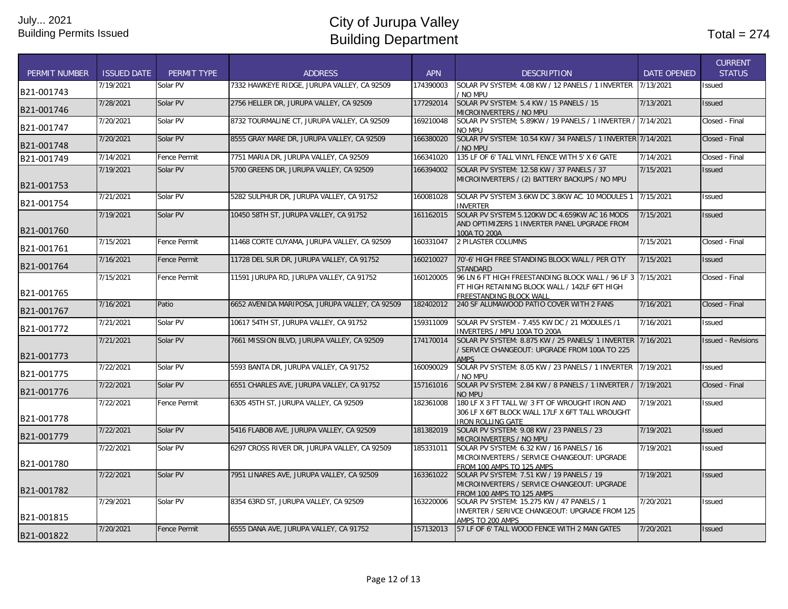| <b>PERMIT NUMBER</b> | <b>ISSUED DATE</b> | <b>PERMIT TYPE</b>  | <b>ADDRESS</b>                                 | <b>APN</b> | <b>DESCRIPTION</b>                                                                                                                      | <b>DATE OPENED</b> | <b>CURRENT</b><br><b>STATUS</b> |
|----------------------|--------------------|---------------------|------------------------------------------------|------------|-----------------------------------------------------------------------------------------------------------------------------------------|--------------------|---------------------------------|
| B21-001743           | 7/19/2021          | Solar PV            | 7332 HAWKEYE RIDGE, JURUPA VALLEY, CA 92509    | 174390003  | SOLAR PV SYSTEM: 4.08 KW / 12 PANELS / 1 INVERTER 7/13/2021<br>No mpu                                                                   |                    | <b>Issued</b>                   |
| B21-001746           | 7/28/2021          | Solar PV            | 2756 HELLER DR, JURUPA VALLEY, CA 92509        | 177292014  | SOLAR PV SYSTEM: 5.4 KW / 15 PANELS / 15<br>MICROINVERTERS / NO MPU                                                                     | 7/13/2021          | <b>Issued</b>                   |
| B21-001747           | 7/20/2021          | Solar PV            | 8732 TOURMALINE CT, JURUPA VALLEY, CA 92509    | 169210048  | SOLAR PV SYSTEM; 5.89KW / 19 PANELS / 1 INVERTER / 7/14/2021<br>NO MPU                                                                  |                    | Closed - Final                  |
| B21-001748           | 7/20/2021          | Solar PV            | 8555 GRAY MARE DR. JURUPA VALLEY. CA 92509     | 166380020  | SOLAR PV SYSTEM: 10.54 KW / 34 PANELS / 1 INVERTER 7/14/2021<br>/ NO MPU                                                                |                    | Closed - Final                  |
| B21-001749           | 7/14/2021          | <b>Fence Permit</b> | 7751 MARIA DR, JURUPA VALLEY, CA 92509         | 166341020  | 135 LF OF 6' TALL VINYL FENCE WITH 5' X 6' GATE                                                                                         | 7/14/2021          | Closed - Final                  |
| B21-001753           | 7/19/2021          | Solar PV            | 5700 GREENS DR, JURUPA VALLEY, CA 92509        | 166394002  | SOLAR PV SYSTEM: 12.58 KW / 37 PANELS / 37<br>MICROINVERTERS / (2) BATTERY BACKUPS / NO MPU                                             | 7/15/2021          | <b>Issued</b>                   |
| B21-001754           | 7/21/2021          | Solar PV            | 5282 SULPHUR DR, JURUPA VALLEY, CA 91752       | 160081028  | SOLAR PV SYSTEM 3.6KW DC 3.8KW AC. 10 MODULES 1<br><b>INVERTER</b>                                                                      | 7/15/2021          | <b>Issued</b>                   |
| B21-001760           | 7/19/2021          | Solar PV            | 10450 58TH ST, JURUPA VALLEY, CA 91752         | 161162015  | SOLAR PV SYSTEM 5.120KW DC 4.659KW AC 16 MODS<br>AND OPTIMIZERS 1 INVERTER PANEL UPGRADE FROM<br>100A TO 200A                           | 7/15/2021          | <b>Issued</b>                   |
| B21-001761           | 7/15/2021          | <b>Fence Permit</b> | 11468 CORTE CUYAMA, JURUPA VALLEY, CA 92509    | 160331047  | 2 PILASTER COLUMNS                                                                                                                      | 7/15/2021          | Closed - Final                  |
| B21-001764           | 7/16/2021          | <b>Fence Permit</b> | 11728 DEL SUR DR, JURUPA VALLEY, CA 91752      | 160210027  | 70'-6' HIGH FREE STANDING BLOCK WALL / PER CITY<br><b>STANDARD</b>                                                                      | 7/15/2021          | <b>Issued</b>                   |
| B21-001765           | 7/15/2021          | <b>Fence Permit</b> | 11591 JURUPA RD, JURUPA VALLEY, CA 91752       | 160120005  | 96 LN 6 FT HIGH FREESTANDING BLOCK WALL / 96 LF 3 7/15/2021<br>FT HIGH RETAINING BLOCK WALL / 142LF 6FT HIGH<br>FREESTANDING BLOCK WALL |                    | Closed - Final                  |
| B21-001767           | 7/16/2021          | Patio               | 6652 AVENIDA MARIPOSA, JURUPA VALLEY, CA 92509 | 182402012  | 240 SF ALUMAWOOD PATIO COVER WITH 2 FANS                                                                                                | 7/16/2021          | Closed - Final                  |
| B21-001772           | 7/21/2021          | Solar PV            | 10617 54TH ST. JURUPA VALLEY. CA 91752         | 159311009  | SOLAR PV SYSTEM - 7.455 KW DC / 21 MODULES /1<br>INVERTERS / MPU 100A TO 200A                                                           | 7/16/2021          | <b>Issued</b>                   |
| B21-001773           | 7/21/2021          | Solar PV            | 7661 MISSION BLVD, JURUPA VALLEY, CA 92509     | 174170014  | SOLAR PV SYSTEM: 8.875 KW / 25 PANELS/ 1 INVERTER 7/16/2021<br>/ SERVICE CHANGEOUT: UPGRADE FROM 100A TO 225<br><b>AMPS</b>             |                    | <b>Issued - Revisions</b>       |
| B21-001775           | 7/22/2021          | Solar PV            | 5593 BANTA DR, JURUPA VALLEY, CA 91752         | 160090029  | SOLAR PV SYSTEM: 8.05 KW / 23 PANELS / 1 INVERTER<br>/ No mpu                                                                           | 7/19/2021          | <b>Issued</b>                   |
| B21-001776           | 7/22/2021          | Solar PV            | 6551 CHARLES AVE, JURUPA VALLEY, CA 91752      | 157161016  | SOLAR PV SYSTEM: 2.84 KW / 8 PANELS / 1 INVERTER /<br>NO MPU                                                                            | 7/19/2021          | Closed - Final                  |
| B21-001778           | 7/22/2021          | Fence Permit        | 6305 45TH ST, JURUPA VALLEY, CA 92509          | 182361008  | 180 LF X 3 FT TALL W/ 3 FT OF WROUGHT IRON AND<br>306 LF X 6FT BLOCK WALL 17LF X 6FT TALL WROUGHT<br><b>IRON ROLLING GATE</b>           | 7/19/2021          | Issued                          |
| B21-001779           | 7/22/2021          | Solar PV            | 5416 FLABOB AVE, JURUPA VALLEY, CA 92509       | 181382019  | SOLAR PV SYSTEM: 9.08 KW / 23 PANELS / 23<br>MICROINVERTERS / NO MPU                                                                    | 7/19/2021          | <b>Issued</b>                   |
| B21-001780           | 7/22/2021          | Solar PV            | 6297 CROSS RIVER DR, JURUPA VALLEY, CA 92509   | 185331011  | SOLAR PV SYSTEM: 6.32 KW / 16 PANELS / 16<br>MICROINVERTERS / SERVICE CHANGEOUT: UPGRADE<br>FROM 100 AMPS TO 125 AMPS                   | 7/19/2021          | Issued                          |
| B21-001782           | 7/22/2021          | Solar PV            | 7951 LINARES AVE, JURUPA VALLEY, CA 92509      | 163361022  | SOLAR PV SYSTEM: 7.51 KW / 19 PANELS / 19<br>MICROINVERTERS / SERVICE CHANGEOUT: UPGRADE<br>FROM 100 AMPS TO 125 AMPS                   | 7/19/2021          | <b>Issued</b>                   |
| B21-001815           | 7/29/2021          | Solar PV            | 8354 63RD ST. JURUPA VALLEY. CA 92509          | 163220006  | SOLAR PV SYSTEM: 15.275 KW / 47 PANELS / 1<br>INVERTER / SERIVCE CHANGEOUT: UPGRADE FROM 125                                            | 7/20/2021          | <b>Issued</b>                   |
| B21-001822           | 7/20/2021          | Fence Permit        | 6555 DANA AVE, JURUPA VALLEY, CA 91752         | 157132013  | AMPS TO 200 AMPS<br>57 LF OF 6' TALL WOOD FENCE WITH 2 MAN GATES                                                                        | 7/20/2021          | <b>Issued</b>                   |